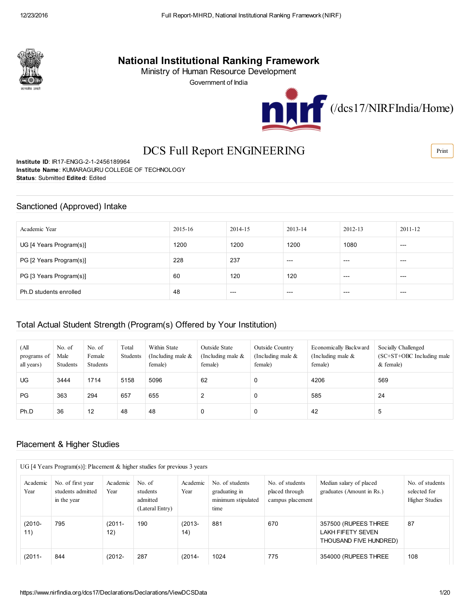

# National Institutional Ranking Framework

Ministry of Human Resource Development

Government of India



# DCS Full Report ENGINEERING

Institute ID: IR17-ENGG-2-1-2456189964 Institute Name: KUMARAGURU COLLEGE OF TECHNOLOGY Status: Submitted Edited: Edited

### Sanctioned (Approved) Intake

| Academic Year           | 2015-16 | 2014-15 | 2013-14 | 2012-13 | 2011-12 |
|-------------------------|---------|---------|---------|---------|---------|
| UG [4 Years Program(s)] | 1200    | 1200    | 1200    | 1080    | $---$   |
| PG [2 Years Program(s)] | 228     | 237     | $---$   | $---$   | $---$   |
| PG [3 Years Program(s)] | 60      | 120     | 120     | $---$   | $---$   |
| Ph.D students enrolled  | 48      | $---$   | $---$   | $---$   | $---$   |

## Total Actual Student Strength (Program(s) Offered by Your Institution)

| (All<br>programs of<br>all years) | No. of<br>Male<br>Students | No. of<br>Female<br>Students | Total<br>Students | Within State<br>(Including male $\&$<br>female) | Outside State<br>(Including male $\&$<br>female) | Outside Country<br>(Including male $\&$<br>female) | Economically Backward<br>(Including male $\&$<br>female) | Socially Challenged<br>$SC+ST+OBC$ Including male<br>$&$ female) |
|-----------------------------------|----------------------------|------------------------------|-------------------|-------------------------------------------------|--------------------------------------------------|----------------------------------------------------|----------------------------------------------------------|------------------------------------------------------------------|
| UG.                               | 3444                       | 1714                         | 5158              | 5096                                            | 62                                               | 0                                                  | 4206                                                     | 569                                                              |
| PG                                | 363                        | 294                          | 657               | 655                                             | 2                                                | 0                                                  | 585                                                      | 24                                                               |
| Ph.D                              | 36                         | 12                           | 48                | 48                                              | 0                                                | $\Omega$                                           | 42                                                       | 5                                                                |

## Placement & Higher Studies

| UG [4 Years Program(s)]: Placement $\&$ higher studies for previous 3 years |                                                       |                  |                                                   |                   |                                                                |                                                       |                                                                            |                                                          |  |  |
|-----------------------------------------------------------------------------|-------------------------------------------------------|------------------|---------------------------------------------------|-------------------|----------------------------------------------------------------|-------------------------------------------------------|----------------------------------------------------------------------------|----------------------------------------------------------|--|--|
| Academic<br>Year                                                            | No. of first year<br>students admitted<br>in the year | Academic<br>Year | No. of<br>students<br>admitted<br>(Lateral Entry) | Academic<br>Year  | No. of students<br>graduating in<br>minimum stipulated<br>time | No. of students<br>placed through<br>campus placement | Median salary of placed<br>graduates (Amount in Rs.)                       | No. of students<br>selected for<br><b>Higher Studies</b> |  |  |
| $(2010 -$<br>11)                                                            | 795                                                   | $(2011 -$<br>12) | 190                                               | $(2013 -$<br>(14) | 881                                                            | 670                                                   | 357500 (RUPEES THREE<br><b>LAKH FIFETY SEVEN</b><br>THOUSAND FIVE HUNDRED) | 87                                                       |  |  |
| $(2011 -$                                                                   | 844                                                   | $(2012 -$        | 287                                               | $(2014 -$         | 1024                                                           | 775                                                   | 354000 (RUPEES THREE                                                       | 108                                                      |  |  |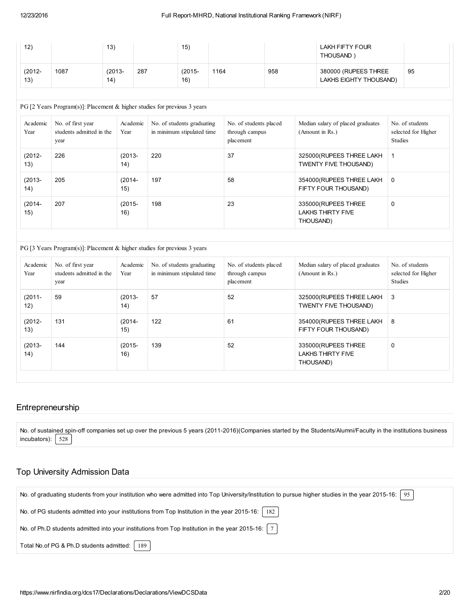| 12)              |      | 13)               |     | 15               |      |     | LAKH FIFTY FOUR<br><b>THOUSAND</b>             |    |
|------------------|------|-------------------|-----|------------------|------|-----|------------------------------------------------|----|
| $(2012 -$<br>13) | 1087 | $(2013 -$<br>(14) | 287 | $(2015 -$<br>16) | 1164 | 958 | 380000 (RUPEES THREE<br>LAKHS EIGHTY THOUSAND) | 95 |

#### PG [2 Years Program(s)]: Placement & higher studies for previous 3 years

| Academic<br>Year | No. of first year<br>students admitted in the<br>year | Academic<br>Year | No. of students graduating<br>in minimum stipulated time | No. of students placed<br>through campus<br>placement | Median salary of placed graduates<br>(Amount in Rs.)          | No. of students<br>selected for Higher<br><b>Studies</b> |
|------------------|-------------------------------------------------------|------------------|----------------------------------------------------------|-------------------------------------------------------|---------------------------------------------------------------|----------------------------------------------------------|
| $(2012 -$<br>13) | 226                                                   | $(2013 -$<br>14) | 220                                                      | 37                                                    | 325000 (RUPEES THREE LAKH<br>TWENTY FIVE THOUSAND)            | -1                                                       |
| $(2013 -$<br>14) | 205                                                   | $(2014 -$<br>15) | 197                                                      | 58                                                    | 354000 (RUPEES THREE LAKH<br>FIFTY FOUR THOUSAND)             | $\overline{0}$                                           |
| $(2014 -$<br>15) | 207                                                   | $(2015 -$<br>16) | 198                                                      | 23                                                    | 335000 (RUPEES THREE<br><b>LAKHS THIRTY FIVE</b><br>THOUSAND) | 0                                                        |

#### PG [3 Years Program(s)]: Placement & higher studies for previous 3 years

| Academic<br>Year | No. of first year<br>students admitted in the<br>year | Academic<br>Year | No. of students graduating<br>in minimum stipulated time | No. of students placed<br>through campus<br>placement | Median salary of placed graduates<br>(Amount in Rs.)          | No. of students<br>selected for Higher<br><b>Studies</b> |
|------------------|-------------------------------------------------------|------------------|----------------------------------------------------------|-------------------------------------------------------|---------------------------------------------------------------|----------------------------------------------------------|
| $(2011 -$<br>12) | 59                                                    | $(2013 -$<br>14) | 57                                                       | 52                                                    | 325000 (RUPEES THREE LAKH<br>TWENTY FIVE THOUSAND)            | 3                                                        |
| $(2012 -$<br>13) | 131                                                   | $(2014 -$<br>15) | 122                                                      | 61                                                    | 354000 (RUPEES THREE LAKH)<br>FIFTY FOUR THOUSAND)            | 8                                                        |
| $(2013 -$<br>14) | 144                                                   | $(2015 -$<br>16) | 139                                                      | 52                                                    | 335000 (RUPEES THREE<br><b>LAKHS THIRTY FIVE</b><br>THOUSAND) | 0                                                        |

## Entrepreneurship

No. of sustained spin-off companies set up over the previous 5 years (2011-2016)(Companies started by the Students/Alumni/Faculty in the institutions business incubators):  $\sqrt{528}$ 

#### Top University Admission Data

| No. of graduating students from your institution who were admitted into Top University/Institution to pursue higher studies in the year 2015-16:   95 |
|-------------------------------------------------------------------------------------------------------------------------------------------------------|
| No. of PG students admitted into your institutions from Top Institution in the year 2015-16:   182                                                    |
| No. of Ph.D students admitted into your institutions from Top Institution in the year 2015-16: $ 7 $                                                  |
| Total No.of PG & Ph.D students admitted:   189                                                                                                        |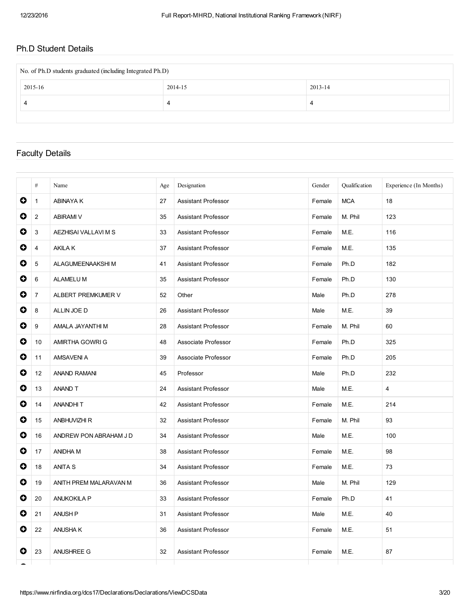## Ph.D Student Details

| No. of Ph.D students graduated (including Integrated Ph.D) |         |         |  |  |  |  |  |
|------------------------------------------------------------|---------|---------|--|--|--|--|--|
| 2015-16                                                    | 2014-15 | 2013-14 |  |  |  |  |  |
|                                                            | 4       | 4       |  |  |  |  |  |
|                                                            |         |         |  |  |  |  |  |

## Faculty Details

|           | #              | Name                   | Age | Designation                | Gender | Qualification | Experience (In Months) |
|-----------|----------------|------------------------|-----|----------------------------|--------|---------------|------------------------|
| O         | $\mathbf{1}$   | <b>ABINAYAK</b>        | 27  | <b>Assistant Professor</b> | Female | <b>MCA</b>    | 18                     |
| 0         | $\overline{2}$ | <b>ABIRAMI V</b>       | 35  | <b>Assistant Professor</b> | Female | M. Phil       | 123                    |
| 0         | 3              | AEZHISAI VALLAVI M S   | 33  | <b>Assistant Professor</b> | Female | M.E.          | 116                    |
| O         | 4              | <b>AKILAK</b>          | 37  | <b>Assistant Professor</b> | Female | M.E.          | 135                    |
| O         | 5              | ALAGUMEENAAKSHI M      | 41  | <b>Assistant Professor</b> | Female | Ph.D          | 182                    |
| O         | 6              | <b>ALAMELUM</b>        | 35  | Assistant Professor        | Female | Ph.D          | 130                    |
| 0         | $\overline{7}$ | ALBERT PREMKUMER V     | 52  | Other                      | Male   | Ph.D          | 278                    |
| 0         | 8              | ALLIN JOE D            | 26  | <b>Assistant Professor</b> | Male   | M.E.          | 39                     |
| 0         | 9              | AMALA JAYANTHI M       | 28  | <b>Assistant Professor</b> | Female | M. Phil       | 60                     |
| 0         | 10             | AMIRTHA GOWRI G        | 48  | Associate Professor        | Female | Ph.D          | 325                    |
| $\bullet$ | 11             | AMSAVENI A             | 39  | Associate Professor        | Female | Ph.D          | 205                    |
| $\bullet$ | 12             | <b>ANAND RAMANI</b>    | 45  | Professor                  | Male   | Ph.D          | 232                    |
| 0         | 13             | ANAND T                | 24  | <b>Assistant Professor</b> | Male   | M.E.          | $\overline{4}$         |
| 0         | 14             | ANANDHIT               | 42  | <b>Assistant Professor</b> | Female | M.E.          | 214                    |
| 0         | 15             | <b>ANBHUVIZHI R</b>    | 32  | <b>Assistant Professor</b> | Female | M. Phil       | 93                     |
| $\bullet$ | 16             | ANDREW PON ABRAHAM J D | 34  | Assistant Professor        | Male   | M.E.          | 100                    |
| $\bullet$ | 17             | ANIDHA M               | 38  | <b>Assistant Professor</b> | Female | M.E.          | 98                     |
| O         | 18             | <b>ANITA S</b>         | 34  | <b>Assistant Professor</b> | Female | M.E.          | 73                     |
| 0         | 19             | ANITH PREM MALARAVAN M | 36  | Assistant Professor        | Male   | M. Phil       | 129                    |
| O         | 20             | <b>ANUKOKILA P</b>     | 33  | Assistant Professor        | Female | Ph.D          | 41                     |
| 0         | 21             | <b>ANUSH P</b>         | 31  | Assistant Professor        | Male   | M.E.          | 40                     |
| $\bullet$ | 22             | <b>ANUSHAK</b>         | 36  | <b>Assistant Professor</b> | Female | M.E.          | 51                     |
| O         | 23             | ANUSHREE G             | 32  | <b>Assistant Professor</b> | Female | M.E.          | 87                     |
|           |                |                        |     |                            |        |               |                        |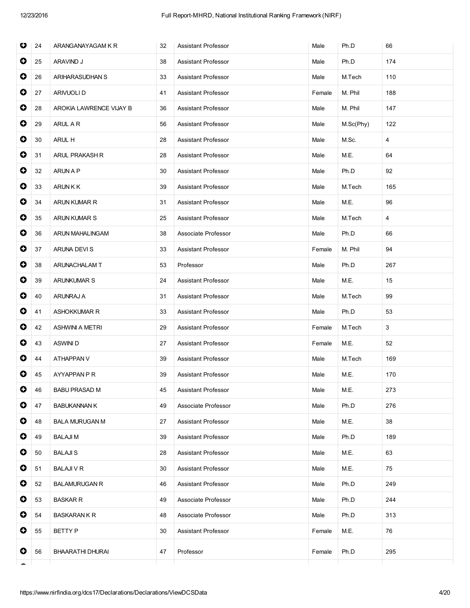| O         | 24 | ARANGANAYAGAM K R       | 32 | <b>Assistant Professor</b> | Male   | Ph.D      | 66  |
|-----------|----|-------------------------|----|----------------------------|--------|-----------|-----|
| 0         | 25 | ARAVIND J               | 38 | <b>Assistant Professor</b> | Male   | Ph.D      | 174 |
| $\bullet$ | 26 | ARIHARASUDHAN S         | 33 | <b>Assistant Professor</b> | Male   | M.Tech    | 110 |
| $\bullet$ | 27 | ARIVUOLI D              | 41 | Assistant Professor        | Female | M. Phil   | 188 |
| $\bullet$ | 28 | AROKIA LAWRENCE VIJAY B | 36 | Assistant Professor        | Male   | M. Phil   | 147 |
| $\bullet$ | 29 | ARUL A R                | 56 | Assistant Professor        | Male   | M.Sc(Phy) | 122 |
| $\bullet$ | 30 | ARUL H                  | 28 | <b>Assistant Professor</b> | Male   | M.Sc.     | 4   |
| $\bullet$ | 31 | ARUL PRAKASH R          | 28 | Assistant Professor        | Male   | M.E.      | 64  |
| $\bullet$ | 32 | ARUN A P                | 30 | Assistant Professor        | Male   | Ph.D      | 92  |
| 0         | 33 | <b>ARUNKK</b>           | 39 | Assistant Professor        | Male   | M.Tech    | 165 |
| $\bullet$ | 34 | ARUN KUMAR R            | 31 | <b>Assistant Professor</b> | Male   | M.E.      | 96  |
| $\bullet$ | 35 | <b>ARUN KUMAR S</b>     | 25 | Assistant Professor        | Male   | M.Tech    | 4   |
| $\bullet$ | 36 | ARUN MAHALINGAM         | 38 | Associate Professor        | Male   | Ph.D      | 66  |
| $\bullet$ | 37 | ARUNA DEVI S            | 33 | Assistant Professor        | Female | M. Phil   | 94  |
| 0         | 38 | ARUNACHALAM T           | 53 | Professor                  | Male   | Ph.D      | 267 |
| $\bullet$ | 39 | <b>ARUNKUMAR S</b>      | 24 | Assistant Professor        | Male   | M.E.      | 15  |
| $\bullet$ | 40 | ARUNRAJ A               | 31 | <b>Assistant Professor</b> | Male   | M.Tech    | 99  |
| $\bullet$ | 41 | ASHOKKUMAR R            | 33 | <b>Assistant Professor</b> | Male   | Ph.D      | 53  |
| $\bullet$ | 42 | <b>ASHWINI A METRI</b>  | 29 | <b>Assistant Professor</b> | Female | M.Tech    | 3   |
| 0         | 43 | <b>ASWINID</b>          | 27 | Assistant Professor        | Female | M.E.      | 52  |
| $\bullet$ | 44 | ATHAPPAN V              | 39 | <b>Assistant Professor</b> | Male   | M.Tech    | 169 |
| $\bullet$ | 45 | AYYAPPAN P R            | 39 | Assistant Professor        | Male   | M.E.      | 170 |
| $\bullet$ | 46 | <b>BABU PRASAD M</b>    | 45 | Assistant Professor        | Male   | M.E.      | 273 |
| 0         | 47 | <b>BABUKANNAN K</b>     | 49 | Associate Professor        | Male   | Ph.D      | 276 |
| 0         | 48 | <b>BALA MURUGAN M</b>   | 27 | Assistant Professor        | Male   | M.E.      | 38  |
| 0         | 49 | <b>BALAJIM</b>          | 39 | Assistant Professor        | Male   | Ph.D      | 189 |
| $\bullet$ | 50 | <b>BALAJIS</b>          | 28 | Assistant Professor        | Male   | M.E.      | 63  |
| 0         | 51 | <b>BALAJI V R</b>       | 30 | Assistant Professor        | Male   | M.E.      | 75  |
| 0         | 52 | <b>BALAMURUGAN R</b>    | 46 | Assistant Professor        | Male   | Ph.D      | 249 |
| 0         | 53 | <b>BASKAR R</b>         | 49 | Associate Professor        | Male   | Ph.D      | 244 |
| $\bullet$ | 54 | <b>BASKARAN K R</b>     | 48 | Associate Professor        | Male   | Ph.D      | 313 |
| 0         | 55 | BETTY P                 | 30 | Assistant Professor        | Female | M.E.      | 76  |
| O         | 56 | BHAARATHI DHURAI        | 47 | Professor                  | Female | Ph.D      | 295 |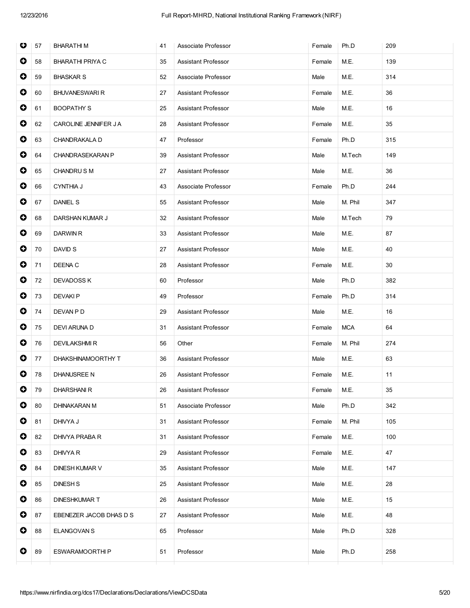| O         | 57 | <b>BHARATHIM</b>        | 41 | Associate Professor        | Female | Ph.D       | 209 |
|-----------|----|-------------------------|----|----------------------------|--------|------------|-----|
| 0         | 58 | <b>BHARATHI PRIYA C</b> | 35 | Assistant Professor        | Female | M.E.       | 139 |
| $\bullet$ | 59 | <b>BHASKAR S</b>        | 52 | Associate Professor        | Male   | M.E.       | 314 |
| $\bullet$ | 60 | <b>BHUVANESWARI R</b>   | 27 | Assistant Professor        | Female | M.E.       | 36  |
| $\bullet$ | 61 | <b>BOOPATHY S</b>       | 25 | Assistant Professor        | Male   | M.E.       | 16  |
| 0         | 62 | CAROLINE JENNIFER J A   | 28 | Assistant Professor        | Female | M.E.       | 35  |
| $\bullet$ | 63 | CHANDRAKALA D           | 47 | Professor                  | Female | Ph.D       | 315 |
| $\bullet$ | 64 | <b>CHANDRASEKARAN P</b> | 39 | Assistant Professor        | Male   | M.Tech     | 149 |
| $\bullet$ | 65 | CHANDRUS M              | 27 | Assistant Professor        | Male   | M.E.       | 36  |
| $\bullet$ | 66 | <b>CYNTHIA J</b>        | 43 | Associate Professor        | Female | Ph.D       | 244 |
| 0         | 67 | <b>DANIEL S</b>         | 55 | Assistant Professor        | Male   | M. Phil    | 347 |
| $\bullet$ | 68 | DARSHAN KUMAR J         | 32 | Assistant Professor        | Male   | M.Tech     | 79  |
| $\bullet$ | 69 | <b>DARWIN R</b>         | 33 | Assistant Professor        | Male   | M.E.       | 87  |
| $\bullet$ | 70 | DAVID S                 | 27 | Assistant Professor        | Male   | M.E.       | 40  |
| $\bullet$ | 71 | DEENA C                 | 28 | Assistant Professor        | Female | M.E.       | 30  |
| $\bullet$ | 72 | <b>DEVADOSS K</b>       | 60 | Professor                  | Male   | Ph.D       | 382 |
| $\bullet$ | 73 | <b>DEVAKIP</b>          | 49 | Professor                  | Female | Ph.D       | 314 |
| $\bullet$ | 74 | DEVAN P D               | 29 | Assistant Professor        | Male   | M.E.       | 16  |
| $\bullet$ | 75 | DEVI ARUNA D            | 31 | Assistant Professor        | Female | <b>MCA</b> | 64  |
| $\bullet$ | 76 | <b>DEVILAKSHMIR</b>     | 56 | Other                      | Female | M. Phil    | 274 |
| $\bullet$ | 77 | DHAKSHINAMOORTHY T      | 36 | Assistant Professor        | Male   | M.E.       | 63  |
| $\bullet$ | 78 | <b>DHANUSREE N</b>      | 26 | Assistant Professor        | Female | M.E.       | 11  |
| $\bullet$ | 79 | <b>DHARSHANIR</b>       | 26 | Assistant Professor        | Female | M.E.       | 35  |
| 0         | 80 | <b>DHINAKARAN M</b>     | 51 | Associate Professor        | Male   | Ph.D       | 342 |
| 0         | 81 | DHIVYA J                | 31 | Assistant Professor        | Female | M. Phil    | 105 |
| $\bullet$ | 82 | DHIVYA PRABA R          | 31 | Assistant Professor        | Female | M.E.       | 100 |
| $\bullet$ | 83 | DHIVYA R                | 29 | Assistant Professor        | Female | M.E.       | 47  |
| $\bullet$ | 84 | <b>DINESH KUMAR V</b>   | 35 | <b>Assistant Professor</b> | Male   | M.E.       | 147 |
| 0         | 85 | <b>DINESH S</b>         | 25 | Assistant Professor        | Male   | M.E.       | 28  |
| 0         | 86 | <b>DINESHKUMAR T</b>    | 26 | Assistant Professor        | Male   | M.E.       | 15  |
| $\bullet$ | 87 | EBENEZER JACOB DHAS D S | 27 | <b>Assistant Professor</b> | Male   | M.E.       | 48  |
| 0         | 88 | <b>ELANGOVAN S</b>      | 65 | Professor                  | Male   | Ph.D       | 328 |
| O         | 89 | ESWARAMOORTHIP          | 51 | Professor                  | Male   | Ph.D       | 258 |
|           |    |                         |    |                            |        |            |     |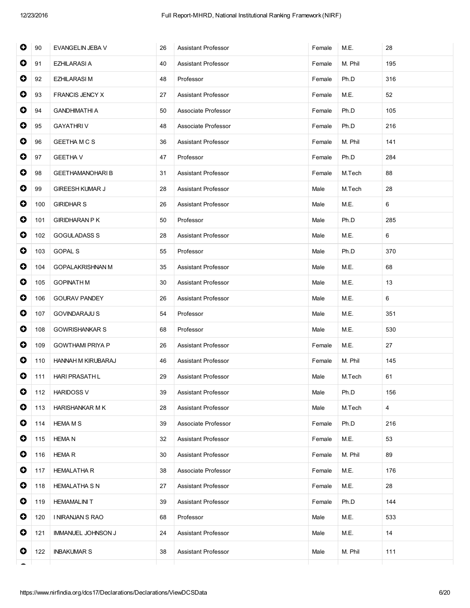| $\bullet$ | 90  | EVANGELIN JEBA V          | 26 | Assistant Professor        | Female | M.E.    | 28             |
|-----------|-----|---------------------------|----|----------------------------|--------|---------|----------------|
| 0         | 91  | <b>EZHILARASI A</b>       | 40 | Assistant Professor        | Female | M. Phil | 195            |
| $\bullet$ | 92  | <b>EZHILARASI M</b>       | 48 | Professor                  | Female | Ph.D    | 316            |
| $\bullet$ | 93  | <b>FRANCIS JENCY X</b>    | 27 | <b>Assistant Professor</b> | Female | M.E.    | 52             |
| $\bullet$ | 94  | <b>GANDHIMATHI A</b>      | 50 | Associate Professor        | Female | Ph.D    | 105            |
| $\bullet$ | 95  | <b>GAYATHRIV</b>          | 48 | Associate Professor        | Female | Ph.D    | 216            |
| O         | 96  | <b>GEETHAMCS</b>          | 36 | Assistant Professor        | Female | M. Phil | 141            |
| $\bullet$ | 97  | <b>GEETHA V</b>           | 47 | Professor                  | Female | Ph.D    | 284            |
| $\bullet$ | 98  | <b>GEETHAMANOHARIB</b>    | 31 | <b>Assistant Professor</b> | Female | M.Tech  | 88             |
| $\bullet$ | 99  | <b>GIREESH KUMAR J</b>    | 28 | Assistant Professor        | Male   | M.Tech  | 28             |
| $\bullet$ | 100 | <b>GIRIDHAR S</b>         | 26 | Assistant Professor        | Male   | M.E.    | 6              |
| $\bullet$ | 101 | <b>GIRIDHARAN P K</b>     | 50 | Professor                  | Male   | Ph.D    | 285            |
| $\bullet$ | 102 | <b>GOGULADASS S</b>       | 28 | Assistant Professor        | Male   | M.E.    | 6              |
| $\bullet$ | 103 | <b>GOPAL S</b>            | 55 | Professor                  | Male   | Ph.D    | 370            |
| $\bullet$ | 104 | <b>GOPALAKRISHNAN M</b>   | 35 | Assistant Professor        | Male   | M.E.    | 68             |
| $\bullet$ | 105 | <b>GOPINATH M</b>         | 30 | Assistant Professor        | Male   | M.E.    | 13             |
| $\bullet$ | 106 | <b>GOURAV PANDEY</b>      | 26 | Assistant Professor        | Male   | M.E.    | 6              |
| 0         | 107 | <b>GOVINDARAJU S</b>      | 54 | Professor                  | Male   | M.E.    | 351            |
| $\bullet$ | 108 | <b>GOWRISHANKAR S</b>     | 68 | Professor                  | Male   | M.E.    | 530            |
| $\bullet$ | 109 | <b>GOWTHAMI PRIYA P</b>   | 26 | Assistant Professor        | Female | M.E.    | 27             |
| 0         | 110 | HANNAH M KIRUBARAJ        | 46 | Assistant Professor        | Female | M. Phil | 145            |
| 0         | 111 | <b>HARI PRASATH L</b>     | 29 | Assistant Professor        | Male   | M.Tech  | 61             |
| $\bullet$ | 112 | <b>HARIDOSS V</b>         | 39 | Assistant Professor        | Male   | Ph.D    | 156            |
| 0         | 113 | <b>HARISHANKAR M K</b>    | 28 | Assistant Professor        | Male   | M.Tech  | $\overline{4}$ |
| $\bullet$ | 114 | <b>HEMA M S</b>           | 39 | Associate Professor        | Female | Ph.D    | 216            |
| 0         | 115 | <b>HEMA N</b>             | 32 | <b>Assistant Professor</b> | Female | M.E.    | 53             |
| $\bullet$ | 116 | <b>HEMAR</b>              | 30 | <b>Assistant Professor</b> | Female | M. Phil | 89             |
| $\bullet$ | 117 | <b>HEMALATHA R</b>        | 38 | Associate Professor        | Female | M.E.    | 176            |
| $\bullet$ | 118 | <b>HEMALATHA S N</b>      | 27 | <b>Assistant Professor</b> | Female | M.E.    | 28             |
| $\bullet$ | 119 | <b>HEMAMALINIT</b>        | 39 | <b>Assistant Professor</b> | Female | Ph.D    | 144            |
| 0         | 120 | I NIRANJAN S RAO          | 68 | Professor                  | Male   | M.E.    | 533            |
| 0         | 121 | <b>IMMANUEL JOHNSON J</b> | 24 | Assistant Professor        | Male   | M.E.    | 14             |
| 0         | 122 | <b>INBAKUMAR S</b>        | 38 | Assistant Professor        | Male   | M. Phil | 111            |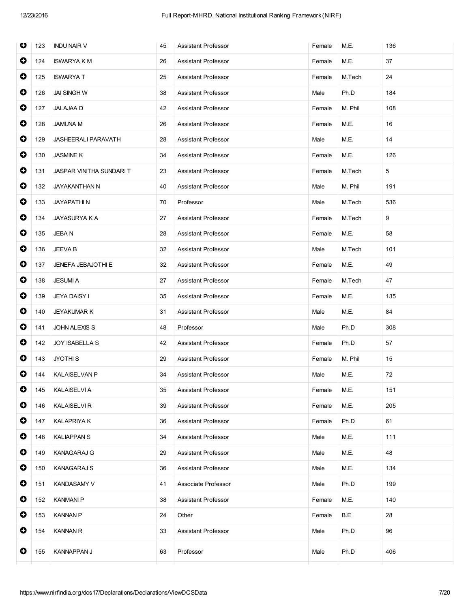| O         | 123 | <b>INDU NAIR V</b>             | 45 | <b>Assistant Professor</b> | Female | M.E.    | 136 |
|-----------|-----|--------------------------------|----|----------------------------|--------|---------|-----|
| 0         | 124 | <b>ISWARYA K M</b>             | 26 | <b>Assistant Professor</b> | Female | M.E.    | 37  |
| $\bullet$ | 125 | <b>ISWARYAT</b>                | 25 | <b>Assistant Professor</b> | Female | M.Tech  | 24  |
| $\bullet$ | 126 | JAI SINGH W                    | 38 | Assistant Professor        | Male   | Ph.D    | 184 |
| 0         | 127 | <b>JALAJAA D</b>               | 42 | <b>Assistant Professor</b> | Female | M. Phil | 108 |
| 0         | 128 | <b>JAMUNA M</b>                | 26 | Assistant Professor        | Female | M.E.    | 16  |
| $\bullet$ | 129 | JASHEERALI PARAVATH            | 28 | <b>Assistant Professor</b> | Male   | M.E.    | 14  |
| $\bullet$ | 130 | <b>JASMINE K</b>               | 34 | Assistant Professor        | Female | M.E.    | 126 |
| $\bullet$ | 131 | <b>JASPAR VINITHA SUNDARIT</b> | 23 | Assistant Professor        | Female | M.Tech  | 5   |
| $\bullet$ | 132 | JAYAKANTHAN N                  | 40 | <b>Assistant Professor</b> | Male   | M. Phil | 191 |
| $\bullet$ | 133 | <b>JAYAPATHIN</b>              | 70 | Professor                  | Male   | M.Tech  | 536 |
| $\bullet$ | 134 | <b>JAYASURYA K A</b>           | 27 | <b>Assistant Professor</b> | Female | M.Tech  | 9   |
| $\bullet$ | 135 | <b>JEBAN</b>                   | 28 | Assistant Professor        | Female | M.E.    | 58  |
| $\bullet$ | 136 | JEEVA B                        | 32 | Assistant Professor        | Male   | M.Tech  | 101 |
| 0         | 137 | JENEFA JEBAJOTHI E             | 32 | Assistant Professor        | Female | M.E.    | 49  |
| $\bullet$ | 138 | <b>JESUMIA</b>                 | 27 | Assistant Professor        | Female | M.Tech  | 47  |
| $\bullet$ | 139 | <b>JEYA DAISY I</b>            | 35 | <b>Assistant Professor</b> | Female | M.E.    | 135 |
| $\bullet$ | 140 | JEYAKUMAR K                    | 31 | <b>Assistant Professor</b> | Male   | M.E.    | 84  |
| $\bullet$ | 141 | <b>JOHN ALEXIS S</b>           | 48 | Professor                  | Male   | Ph.D    | 308 |
| 0         | 142 | <b>JOY ISABELLA S</b>          | 42 | <b>Assistant Professor</b> | Female | Ph.D    | 57  |
| 0         | 143 | JYOTHI <sub>S</sub>            | 29 | <b>Assistant Professor</b> | Female | M. Phil | 15  |
| $\bullet$ | 144 | <b>KALAISELVAN P</b>           | 34 | Assistant Professor        | Male   | M.E.    | 72  |
| $\bullet$ | 145 | <b>KALAISELVI A</b>            | 35 | Assistant Professor        | Female | M.E.    | 151 |
| 0         | 146 | <b>KALAISELVI R</b>            | 39 | <b>Assistant Professor</b> | Female | M.E.    | 205 |
| 0         | 147 | <b>KALAPRIYA K</b>             | 36 | <b>Assistant Professor</b> | Female | Ph.D    | 61  |
| 0         | 148 | <b>KALIAPPAN S</b>             | 34 | Assistant Professor        | Male   | M.E.    | 111 |
| $\bullet$ | 149 | <b>KANAGARAJ G</b>             | 29 | Assistant Professor        | Male   | M.E.    | 48  |
| $\bullet$ | 150 | <b>KANAGARAJ S</b>             | 36 | Assistant Professor        | Male   | M.E.    | 134 |
| 0         | 151 | <b>KANDASAMY V</b>             | 41 | Associate Professor        | Male   | Ph.D    | 199 |
| $\bullet$ | 152 | <b>KANMANI P</b>               | 38 | Assistant Professor        | Female | M.E.    | 140 |
| 0         | 153 | <b>KANNAN P</b>                | 24 | Other                      | Female | B.E     | 28  |
| 0         | 154 | <b>KANNAN R</b>                | 33 | <b>Assistant Professor</b> | Male   | Ph.D    | 96  |
| $\bullet$ | 155 | KANNAPPAN J                    | 63 | Professor                  | Male   | Ph.D    | 406 |
|           |     |                                |    |                            |        |         |     |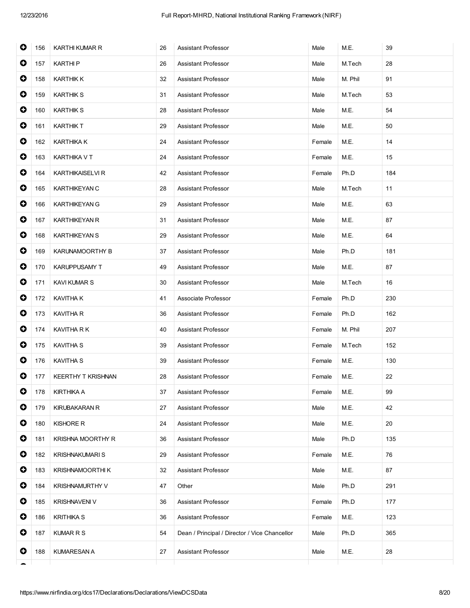| $\bullet$ | 156 | <b>KARTHI KUMAR R</b>   | 26 | <b>Assistant Professor</b>                    | Male   | M.E.    | 39  |
|-----------|-----|-------------------------|----|-----------------------------------------------|--------|---------|-----|
| $\bullet$ | 157 | <b>KARTHIP</b>          | 26 | Assistant Professor                           | Male   | M.Tech  | 28  |
| 0         | 158 | <b>KARTHIK K</b>        | 32 | Assistant Professor                           | Male   | M. Phil | 91  |
| $\bullet$ | 159 | <b>KARTHIK S</b>        | 31 | <b>Assistant Professor</b>                    | Male   | M.Tech  | 53  |
| $\bullet$ | 160 | <b>KARTHIK S</b>        | 28 | <b>Assistant Professor</b>                    | Male   | M.E.    | 54  |
| $\bullet$ | 161 | KARTHIK T               | 29 | Assistant Professor                           | Male   | M.E.    | 50  |
| $\bullet$ | 162 | <b>KARTHIKA K</b>       | 24 | Assistant Professor                           | Female | M.E.    | 14  |
| 0         | 163 | KARTHIKA V T            | 24 | Assistant Professor                           | Female | M.E.    | 15  |
| $\bullet$ | 164 | <b>KARTHIKAISELVI R</b> | 42 | <b>Assistant Professor</b>                    | Female | Ph.D    | 184 |
| $\bullet$ | 165 | KARTHIKEYAN C           | 28 | Assistant Professor                           | Male   | M.Tech  | 11  |
| $\bullet$ | 166 | <b>KARTHIKEYAN G</b>    | 29 | <b>Assistant Professor</b>                    | Male   | M.E.    | 63  |
| $\bullet$ | 167 | <b>KARTHIKEYAN R</b>    | 31 | <b>Assistant Professor</b>                    | Male   | M.E.    | 87  |
| $\bullet$ | 168 | <b>KARTHIKEYAN S</b>    | 29 | Assistant Professor                           | Male   | M.E.    | 64  |
| $\bullet$ | 169 | KARUNAMOORTHY B         | 37 | <b>Assistant Professor</b>                    | Male   | Ph.D    | 181 |
| $\bullet$ | 170 | KARUPPUSAMY T           | 49 | Assistant Professor                           | Male   | M.E.    | 87  |
| $\bullet$ | 171 | <b>KAVI KUMAR S</b>     | 30 | Assistant Professor                           | Male   | M.Tech  | 16  |
| 0         | 172 | <b>KAVITHA K</b>        | 41 | Associate Professor                           | Female | Ph.D    | 230 |
| 0         | 173 | KAVITHA R               | 36 | <b>Assistant Professor</b>                    | Female | Ph.D    | 162 |
| $\bullet$ | 174 | KAVITHA R K             | 40 | <b>Assistant Professor</b>                    | Female | M. Phil | 207 |
| $\bullet$ | 175 | <b>KAVITHA S</b>        | 39 | Assistant Professor                           | Female | M.Tech  | 152 |
| $\bullet$ | 176 | <b>KAVITHA S</b>        | 39 | <b>Assistant Professor</b>                    | Female | M.E.    | 130 |
| 0         | 177 | KEERTHY T KRISHNAN      | 28 | Assistant Professor                           | Female | M.E.    | 22  |
| 0         | 178 | <b>KIRTHIKA A</b>       | 37 | Assistant Professor                           | Female | M.E.    | 99  |
| 0         | 179 | <b>KIRUBAKARAN R</b>    | 27 | Assistant Professor                           | Male   | M.E.    | 42  |
| 0         | 180 | <b>KISHORE R</b>        | 24 | Assistant Professor                           | Male   | M.E.    | 20  |
| 0         | 181 | KRISHNA MOORTHY R       | 36 | Assistant Professor                           | Male   | Ph.D    | 135 |
| 0         | 182 | <b>KRISHNAKUMARI S</b>  | 29 | Assistant Professor                           | Female | M.E.    | 76  |
| 0         | 183 | KRISHNAMOORTHI K        | 32 | <b>Assistant Professor</b>                    | Male   | M.E.    | 87  |
| $\bullet$ | 184 | KRISHNAMURTHY V         | 47 | Other                                         | Male   | Ph.D    | 291 |
| 0         | 185 | <b>KRISHNAVENI V</b>    | 36 | Assistant Professor                           | Female | Ph.D    | 177 |
| 0         | 186 | <b>KRITHIKA S</b>       | 36 | Assistant Professor                           | Female | M.E.    | 123 |
| 0         | 187 | <b>KUMAR R S</b>        | 54 | Dean / Principal / Director / Vice Chancellor | Male   | Ph.D    | 365 |
| 0         | 188 | <b>KUMARESAN A</b>      | 27 | <b>Assistant Professor</b>                    | Male   | M.E.    | 28  |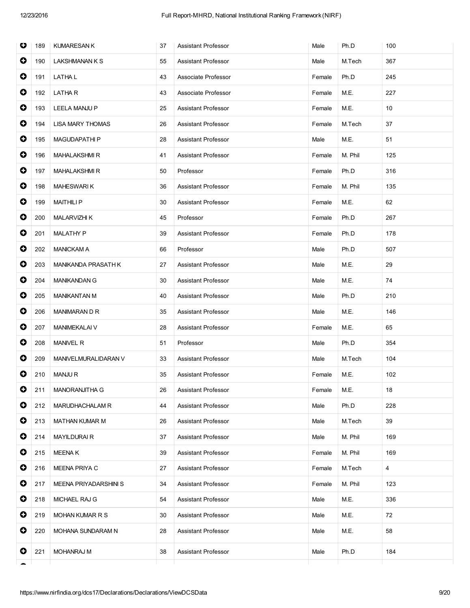| O         | 189 | <b>KUMARESAN K</b>      | 37 | <b>Assistant Professor</b> | Male   | Ph.D    | 100 |
|-----------|-----|-------------------------|----|----------------------------|--------|---------|-----|
| 0         | 190 | <b>LAKSHMANAN K S</b>   | 55 | Assistant Professor        | Male   | M.Tech  | 367 |
| $\bullet$ | 191 | LATHA L                 | 43 | Associate Professor        | Female | Ph.D    | 245 |
| $\bullet$ | 192 | LATHA R                 | 43 | Associate Professor        | Female | M.E.    | 227 |
| $\bullet$ | 193 | <b>LEELA MANJU P</b>    | 25 | Assistant Professor        | Female | M.E.    | 10  |
| 0         | 194 | <b>LISA MARY THOMAS</b> | 26 | <b>Assistant Professor</b> | Female | M.Tech  | 37  |
| $\bullet$ | 195 | <b>MAGUDAPATHIP</b>     | 28 | <b>Assistant Professor</b> | Male   | M.E.    | 51  |
| $\bullet$ | 196 | <b>MAHALAKSHMIR</b>     | 41 | Assistant Professor        | Female | M. Phil | 125 |
| $\bullet$ | 197 | <b>MAHALAKSHMIR</b>     | 50 | Professor                  | Female | Ph.D    | 316 |
| 0         | 198 | <b>MAHESWARIK</b>       | 36 | Assistant Professor        | Female | M. Phil | 135 |
| $\bullet$ | 199 | <b>MAITHILIP</b>        | 30 | <b>Assistant Professor</b> | Female | M.E.    | 62  |
| $\bullet$ | 200 | <b>MALARVIZHI K</b>     | 45 | Professor                  | Female | Ph.D    | 267 |
| $\bullet$ | 201 | <b>MALATHY P</b>        | 39 | Assistant Professor        | Female | Ph.D    | 178 |
| $\bullet$ | 202 | <b>MANICKAM A</b>       | 66 | Professor                  | Male   | Ph.D    | 507 |
| 0         | 203 | MANIKANDA PRASATH K     | 27 | Assistant Professor        | Male   | M.E.    | 29  |
| $\bullet$ | 204 | <b>MANIKANDAN G</b>     | 30 | <b>Assistant Professor</b> | Male   | M.E.    | 74  |
| $\bullet$ | 205 | <b>MANIKANTAN M</b>     | 40 | <b>Assistant Professor</b> | Male   | Ph.D    | 210 |
| $\bullet$ | 206 | MANIMARAN D R           | 35 | Assistant Professor        | Male   | M.E.    | 146 |
| $\bullet$ | 207 | MANIMEKALAI V           | 28 | Assistant Professor        | Female | M.E.    | 65  |
| 0         | 208 | <b>MANIVEL R</b>        | 51 | Professor                  | Male   | Ph.D    | 354 |
| 0         | 209 | MANIVELMURALIDARAN V    | 33 | <b>Assistant Professor</b> | Male   | M.Tech  | 104 |
| 0         | 210 | <b>MANJUR</b>           | 35 | <b>Assistant Professor</b> | Female | M.E.    | 102 |
| $\bullet$ | 211 | MANORANJITHA G          | 26 | <b>Assistant Professor</b> | Female | M.E.    | 18  |
| 0         | 212 | MARUDHACHALAM R         | 44 | <b>Assistant Professor</b> | Male   | Ph.D    | 228 |
| 0         | 213 | <b>MATHAN KUMAR M</b>   | 26 | Assistant Professor        | Male   | M.Tech  | 39  |
| 0         | 214 | <b>MAYILDURAIR</b>      | 37 | Assistant Professor        | Male   | M. Phil | 169 |
| 0         | 215 | <b>MEENAK</b>           | 39 | Assistant Professor        | Female | M. Phil | 169 |
| 0         | 216 | MEENA PRIYA C           | 27 | Assistant Professor        | Female | M.Tech  | 4   |
| 0         | 217 | MEENA PRIYADARSHINI S   | 34 | <b>Assistant Professor</b> | Female | M. Phil | 123 |
| 0         | 218 | MICHAEL RAJ G           | 54 | Assistant Professor        | Male   | M.E.    | 336 |
| 0         | 219 | <b>MOHAN KUMAR R S</b>  | 30 | Assistant Professor        | Male   | M.E.    | 72  |
| 0         | 220 | MOHANA SUNDARAM N       | 28 | Assistant Professor        | Male   | M.E.    | 58  |
| 0         | 221 | <b>MOHANRAJ M</b>       | 38 | <b>Assistant Professor</b> | Male   | Ph.D    | 184 |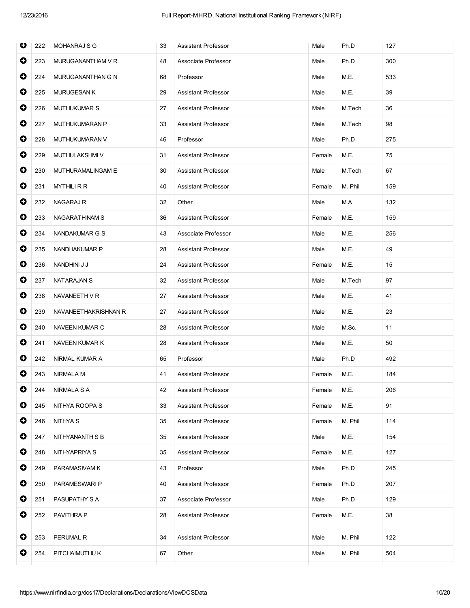| O         | 222 | MOHANRAJ S G          | 33 | <b>Assistant Professor</b> | Male   | Ph.D    | 127 |
|-----------|-----|-----------------------|----|----------------------------|--------|---------|-----|
| $\bullet$ | 223 | MURUGANANTHAM V R     | 48 | Associate Professor        | Male   | Ph.D    | 300 |
| $\bullet$ | 224 | MURUGANANTHAN G N     | 68 | Professor                  | Male   | M.E.    | 533 |
| $\bullet$ | 225 | <b>MURUGESAN K</b>    | 29 | Assistant Professor        | Male   | M.E.    | 39  |
| $\bullet$ | 226 | <b>MUTHUKUMAR S</b>   | 27 | <b>Assistant Professor</b> | Male   | M.Tech  | 36  |
| $\bullet$ | 227 | MUTHUKUMARAN P        | 33 | <b>Assistant Professor</b> | Male   | M.Tech  | 98  |
| $\bullet$ | 228 | <b>MUTHUKUMARAN V</b> | 46 | Professor                  | Male   | Ph.D    | 275 |
| $\bullet$ | 229 | MUTHULAKSHMI V        | 31 | Assistant Professor        | Female | M.E.    | 75  |
| $\bullet$ | 230 | MUTHURAMALINGAM E     | 30 | <b>Assistant Professor</b> | Male   | M.Tech  | 67  |
| 0         | 231 | <b>MYTHILIRR</b>      | 40 | <b>Assistant Professor</b> | Female | M. Phil | 159 |
| $\bullet$ | 232 | <b>NAGARAJ R</b>      | 32 | Other                      | Male   | M.A     | 132 |
| $\bullet$ | 233 | NAGARATHINAM S        | 36 | <b>Assistant Professor</b> | Female | M.E.    | 159 |
| $\bullet$ | 234 | NANDAKUMAR G S        | 43 | Associate Professor        | Male   | M.E.    | 256 |
| $\bullet$ | 235 | NANDHAKUMAR P         | 28 | Assistant Professor        | Male   | M.E.    | 49  |
| $\bullet$ | 236 | NANDHINI J J          | 24 | <b>Assistant Professor</b> | Female | M.E.    | 15  |
| $\bullet$ | 237 | NATARAJAN S           | 32 | Assistant Professor        | Male   | M.Tech  | 97  |
| $\bullet$ | 238 | NAVANEETH VR          | 27 | Assistant Professor        | Male   | M.E.    | 41  |
| $\bullet$ | 239 | NAVANEETHAKRISHNAN R  | 27 | <b>Assistant Professor</b> | Male   | M.E.    | 23  |
| 0         | 240 | NAVEEN KUMAR C        | 28 | Assistant Professor        | Male   | M.Sc.   | 11  |
| $\bullet$ | 241 | NAVEEN KUMAR K        | 28 | <b>Assistant Professor</b> | Male   | M.E.    | 50  |
| $\bullet$ | 242 | NIRMAL KUMAR A        | 65 | Professor                  | Male   | Ph.D    | 492 |
| $\bullet$ | 243 | NIRMALA M             | 41 | Assistant Professor        | Female | M.E.    | 184 |
| $\bullet$ | 244 | NIRMALA S A           | 42 | <b>Assistant Professor</b> | Female | M.E.    | 206 |
| 0         | 245 | NITHYA ROOPA S        | 33 | Assistant Professor        | Female | M.E.    | 91  |
| 0         | 246 | NITHYA S              | 35 | <b>Assistant Professor</b> | Female | M. Phil | 114 |
| 0         | 247 | NITHYANANTH S B       | 35 | Assistant Professor        | Male   | M.E.    | 154 |
| $\bullet$ | 248 | NITHYAPRIYA S         | 35 | Assistant Professor        | Female | M.E.    | 127 |
| 0         | 249 | PARAMASIVAM K         | 43 | Professor                  | Male   | Ph.D    | 245 |
| 0         | 250 | PARAMESWARI P         | 40 | Assistant Professor        | Female | Ph.D    | 207 |
| 0         | 251 | PASUPATHY S A         | 37 | Associate Professor        | Male   | Ph.D    | 129 |
| 0         | 252 | PAVITHRA P            | 28 | Assistant Professor        | Female | M.E.    | 38  |
| 0         | 253 | PERUMAL R             | 34 | <b>Assistant Professor</b> | Male   | M. Phil | 122 |
| 0         | 254 | PITCHAIMUTHU K        | 67 | Other                      | Male   | M. Phil | 504 |
|           |     |                       |    |                            |        |         |     |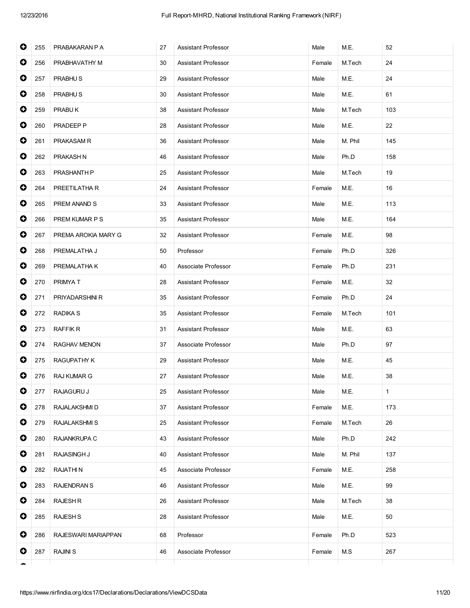| $\bullet$<br>M.Tech<br>24<br>256<br>PRABHAVATHY M<br>30<br>Assistant Professor<br>Female<br>$\bullet$<br>257<br>PRABHU <sub>S</sub><br>29<br>M.E.<br>24<br>Assistant Professor<br>Male<br>$\bullet$<br>258<br>PRABHU <sub>S</sub><br><b>Assistant Professor</b><br>M.E.<br>61<br>30<br>Male<br>$\bullet$<br>259<br>PRABUK<br>38<br>M.Tech<br>103<br>Assistant Professor<br>Male<br>$\bullet$<br>260<br>PRADEEP P<br>22<br>28<br>Assistant Professor<br>Male<br>M.E.<br>$\bullet$<br><b>Assistant Professor</b><br>M. Phil<br>145<br>261<br>PRAKASAM R<br>36<br>Male<br>$\bullet$<br>262<br>PRAKASH N<br>46<br>Assistant Professor<br>Ph.D<br>158<br>Male<br>$\bullet$<br>263<br>PRASHANTH P<br>25<br><b>Assistant Professor</b><br>M.Tech<br>19<br>Male<br>$\bullet$<br>264<br>PREETILATHA R<br>24<br>M.E.<br>16<br>Assistant Professor<br>Female<br>$\bullet$<br>PREM ANAND S<br>Assistant Professor<br>M.E.<br>265<br>33<br>Male<br>113<br>$\bullet$<br>266<br>PREM KUMAR P S<br>35<br><b>Assistant Professor</b><br>M.E.<br>164<br>Male<br>$\bullet$<br>267<br>PREMA AROKIA MARY G<br>32<br>Assistant Professor<br>M.E.<br>98<br>Female<br>$\bullet$<br>268<br>PREMALATHA J<br>Professor<br>Ph.D<br>326<br>50<br>Female<br>$\bullet$<br>269<br>PREMALATHA K<br>40<br>Ph.D<br>231<br>Associate Professor<br>Female<br>$\bullet$<br>PRIMYA T<br>270<br>28<br>Assistant Professor<br>Female<br>M.E.<br>32<br>$\bullet$<br>271<br>PRIYADARSHINI R<br>35<br><b>Assistant Professor</b><br>Female<br>Ph.D<br>24<br>$\bullet$<br>272<br><b>RADIKA S</b><br>M.Tech<br>101<br>35<br>Assistant Professor<br>Female<br>$\bullet$<br>273<br><b>RAFFIK R</b><br>Assistant Professor<br>M.E.<br>63<br>31<br>Male<br>$\bullet$<br>274<br>RAGHAV MENON<br>37<br>Associate Professor<br>Male<br>Ph.D<br>97<br>0<br><b>Assistant Professor</b><br>M.E.<br>275<br>RAGUPATHY K<br>29<br>Male<br>45<br>$\bullet$<br>276<br><b>RAJ KUMAR G</b><br><b>Assistant Professor</b><br>M.E.<br>38<br>27<br>Male<br>$\bullet$<br>RAJAGURU J<br>M.E.<br>$\mathbf{1}$<br>277<br>25<br><b>Assistant Professor</b><br>Male<br>0<br>278<br>RAJALAKSHMI D<br>37<br>Assistant Professor<br>M.E.<br>173<br>Female<br>0<br>26<br>RAJALAKSHMI S<br>25<br>Assistant Professor<br>279<br>Female<br>M.Tech<br>0<br>280<br>RAJANKRUPA C<br>Assistant Professor<br>Ph.D<br>242<br>43<br>Male<br>0<br>281<br>RAJASINGH J<br>40<br>Assistant Professor<br>Male<br>M. Phil<br>137<br>0<br>282<br><b>RAJATHIN</b><br>45<br>Associate Professor<br>M.E.<br>258<br>Female<br>0<br>99<br>283<br><b>RAJENDRAN S</b><br>46<br>Assistant Professor<br>Male<br>M.E.<br>0<br>284<br><b>RAJESH R</b><br>Assistant Professor<br>38<br>26<br>Male<br>M.Tech<br>0<br>285<br><b>RAJESH S</b><br>28<br>Assistant Professor<br>Male<br>M.E.<br>50<br>0<br>286<br>RAJESWARI MARIAPPAN<br>Professor<br>Ph.D<br>523<br>68<br>Female<br>0<br><b>RAJINI S</b><br>287<br>46<br>Associate Professor<br>M.S<br>267<br>Female | $\bullet$ | 255 | PRABAKARAN P A | 27 | Assistant Professor | Male | M.E. | 52 |
|---------------------------------------------------------------------------------------------------------------------------------------------------------------------------------------------------------------------------------------------------------------------------------------------------------------------------------------------------------------------------------------------------------------------------------------------------------------------------------------------------------------------------------------------------------------------------------------------------------------------------------------------------------------------------------------------------------------------------------------------------------------------------------------------------------------------------------------------------------------------------------------------------------------------------------------------------------------------------------------------------------------------------------------------------------------------------------------------------------------------------------------------------------------------------------------------------------------------------------------------------------------------------------------------------------------------------------------------------------------------------------------------------------------------------------------------------------------------------------------------------------------------------------------------------------------------------------------------------------------------------------------------------------------------------------------------------------------------------------------------------------------------------------------------------------------------------------------------------------------------------------------------------------------------------------------------------------------------------------------------------------------------------------------------------------------------------------------------------------------------------------------------------------------------------------------------------------------------------------------------------------------------------------------------------------------------------------------------------------------------------------------------------------------------------------------------------------------------------------------------------------------------------------------------------------------------------------------------------------------------------------------------------------------------------------------------------------------------------------------------------------------------------------------------------------------------------------------------------------------------------------------------------------------------------------------------------------|-----------|-----|----------------|----|---------------------|------|------|----|
|                                                                                                                                                                                                                                                                                                                                                                                                                                                                                                                                                                                                                                                                                                                                                                                                                                                                                                                                                                                                                                                                                                                                                                                                                                                                                                                                                                                                                                                                                                                                                                                                                                                                                                                                                                                                                                                                                                                                                                                                                                                                                                                                                                                                                                                                                                                                                                                                                                                                                                                                                                                                                                                                                                                                                                                                                                                                                                                                                         |           |     |                |    |                     |      |      |    |
|                                                                                                                                                                                                                                                                                                                                                                                                                                                                                                                                                                                                                                                                                                                                                                                                                                                                                                                                                                                                                                                                                                                                                                                                                                                                                                                                                                                                                                                                                                                                                                                                                                                                                                                                                                                                                                                                                                                                                                                                                                                                                                                                                                                                                                                                                                                                                                                                                                                                                                                                                                                                                                                                                                                                                                                                                                                                                                                                                         |           |     |                |    |                     |      |      |    |
|                                                                                                                                                                                                                                                                                                                                                                                                                                                                                                                                                                                                                                                                                                                                                                                                                                                                                                                                                                                                                                                                                                                                                                                                                                                                                                                                                                                                                                                                                                                                                                                                                                                                                                                                                                                                                                                                                                                                                                                                                                                                                                                                                                                                                                                                                                                                                                                                                                                                                                                                                                                                                                                                                                                                                                                                                                                                                                                                                         |           |     |                |    |                     |      |      |    |
|                                                                                                                                                                                                                                                                                                                                                                                                                                                                                                                                                                                                                                                                                                                                                                                                                                                                                                                                                                                                                                                                                                                                                                                                                                                                                                                                                                                                                                                                                                                                                                                                                                                                                                                                                                                                                                                                                                                                                                                                                                                                                                                                                                                                                                                                                                                                                                                                                                                                                                                                                                                                                                                                                                                                                                                                                                                                                                                                                         |           |     |                |    |                     |      |      |    |
|                                                                                                                                                                                                                                                                                                                                                                                                                                                                                                                                                                                                                                                                                                                                                                                                                                                                                                                                                                                                                                                                                                                                                                                                                                                                                                                                                                                                                                                                                                                                                                                                                                                                                                                                                                                                                                                                                                                                                                                                                                                                                                                                                                                                                                                                                                                                                                                                                                                                                                                                                                                                                                                                                                                                                                                                                                                                                                                                                         |           |     |                |    |                     |      |      |    |
|                                                                                                                                                                                                                                                                                                                                                                                                                                                                                                                                                                                                                                                                                                                                                                                                                                                                                                                                                                                                                                                                                                                                                                                                                                                                                                                                                                                                                                                                                                                                                                                                                                                                                                                                                                                                                                                                                                                                                                                                                                                                                                                                                                                                                                                                                                                                                                                                                                                                                                                                                                                                                                                                                                                                                                                                                                                                                                                                                         |           |     |                |    |                     |      |      |    |
|                                                                                                                                                                                                                                                                                                                                                                                                                                                                                                                                                                                                                                                                                                                                                                                                                                                                                                                                                                                                                                                                                                                                                                                                                                                                                                                                                                                                                                                                                                                                                                                                                                                                                                                                                                                                                                                                                                                                                                                                                                                                                                                                                                                                                                                                                                                                                                                                                                                                                                                                                                                                                                                                                                                                                                                                                                                                                                                                                         |           |     |                |    |                     |      |      |    |
|                                                                                                                                                                                                                                                                                                                                                                                                                                                                                                                                                                                                                                                                                                                                                                                                                                                                                                                                                                                                                                                                                                                                                                                                                                                                                                                                                                                                                                                                                                                                                                                                                                                                                                                                                                                                                                                                                                                                                                                                                                                                                                                                                                                                                                                                                                                                                                                                                                                                                                                                                                                                                                                                                                                                                                                                                                                                                                                                                         |           |     |                |    |                     |      |      |    |
|                                                                                                                                                                                                                                                                                                                                                                                                                                                                                                                                                                                                                                                                                                                                                                                                                                                                                                                                                                                                                                                                                                                                                                                                                                                                                                                                                                                                                                                                                                                                                                                                                                                                                                                                                                                                                                                                                                                                                                                                                                                                                                                                                                                                                                                                                                                                                                                                                                                                                                                                                                                                                                                                                                                                                                                                                                                                                                                                                         |           |     |                |    |                     |      |      |    |
|                                                                                                                                                                                                                                                                                                                                                                                                                                                                                                                                                                                                                                                                                                                                                                                                                                                                                                                                                                                                                                                                                                                                                                                                                                                                                                                                                                                                                                                                                                                                                                                                                                                                                                                                                                                                                                                                                                                                                                                                                                                                                                                                                                                                                                                                                                                                                                                                                                                                                                                                                                                                                                                                                                                                                                                                                                                                                                                                                         |           |     |                |    |                     |      |      |    |
|                                                                                                                                                                                                                                                                                                                                                                                                                                                                                                                                                                                                                                                                                                                                                                                                                                                                                                                                                                                                                                                                                                                                                                                                                                                                                                                                                                                                                                                                                                                                                                                                                                                                                                                                                                                                                                                                                                                                                                                                                                                                                                                                                                                                                                                                                                                                                                                                                                                                                                                                                                                                                                                                                                                                                                                                                                                                                                                                                         |           |     |                |    |                     |      |      |    |
|                                                                                                                                                                                                                                                                                                                                                                                                                                                                                                                                                                                                                                                                                                                                                                                                                                                                                                                                                                                                                                                                                                                                                                                                                                                                                                                                                                                                                                                                                                                                                                                                                                                                                                                                                                                                                                                                                                                                                                                                                                                                                                                                                                                                                                                                                                                                                                                                                                                                                                                                                                                                                                                                                                                                                                                                                                                                                                                                                         |           |     |                |    |                     |      |      |    |
|                                                                                                                                                                                                                                                                                                                                                                                                                                                                                                                                                                                                                                                                                                                                                                                                                                                                                                                                                                                                                                                                                                                                                                                                                                                                                                                                                                                                                                                                                                                                                                                                                                                                                                                                                                                                                                                                                                                                                                                                                                                                                                                                                                                                                                                                                                                                                                                                                                                                                                                                                                                                                                                                                                                                                                                                                                                                                                                                                         |           |     |                |    |                     |      |      |    |
|                                                                                                                                                                                                                                                                                                                                                                                                                                                                                                                                                                                                                                                                                                                                                                                                                                                                                                                                                                                                                                                                                                                                                                                                                                                                                                                                                                                                                                                                                                                                                                                                                                                                                                                                                                                                                                                                                                                                                                                                                                                                                                                                                                                                                                                                                                                                                                                                                                                                                                                                                                                                                                                                                                                                                                                                                                                                                                                                                         |           |     |                |    |                     |      |      |    |
|                                                                                                                                                                                                                                                                                                                                                                                                                                                                                                                                                                                                                                                                                                                                                                                                                                                                                                                                                                                                                                                                                                                                                                                                                                                                                                                                                                                                                                                                                                                                                                                                                                                                                                                                                                                                                                                                                                                                                                                                                                                                                                                                                                                                                                                                                                                                                                                                                                                                                                                                                                                                                                                                                                                                                                                                                                                                                                                                                         |           |     |                |    |                     |      |      |    |
|                                                                                                                                                                                                                                                                                                                                                                                                                                                                                                                                                                                                                                                                                                                                                                                                                                                                                                                                                                                                                                                                                                                                                                                                                                                                                                                                                                                                                                                                                                                                                                                                                                                                                                                                                                                                                                                                                                                                                                                                                                                                                                                                                                                                                                                                                                                                                                                                                                                                                                                                                                                                                                                                                                                                                                                                                                                                                                                                                         |           |     |                |    |                     |      |      |    |
|                                                                                                                                                                                                                                                                                                                                                                                                                                                                                                                                                                                                                                                                                                                                                                                                                                                                                                                                                                                                                                                                                                                                                                                                                                                                                                                                                                                                                                                                                                                                                                                                                                                                                                                                                                                                                                                                                                                                                                                                                                                                                                                                                                                                                                                                                                                                                                                                                                                                                                                                                                                                                                                                                                                                                                                                                                                                                                                                                         |           |     |                |    |                     |      |      |    |
|                                                                                                                                                                                                                                                                                                                                                                                                                                                                                                                                                                                                                                                                                                                                                                                                                                                                                                                                                                                                                                                                                                                                                                                                                                                                                                                                                                                                                                                                                                                                                                                                                                                                                                                                                                                                                                                                                                                                                                                                                                                                                                                                                                                                                                                                                                                                                                                                                                                                                                                                                                                                                                                                                                                                                                                                                                                                                                                                                         |           |     |                |    |                     |      |      |    |
|                                                                                                                                                                                                                                                                                                                                                                                                                                                                                                                                                                                                                                                                                                                                                                                                                                                                                                                                                                                                                                                                                                                                                                                                                                                                                                                                                                                                                                                                                                                                                                                                                                                                                                                                                                                                                                                                                                                                                                                                                                                                                                                                                                                                                                                                                                                                                                                                                                                                                                                                                                                                                                                                                                                                                                                                                                                                                                                                                         |           |     |                |    |                     |      |      |    |
|                                                                                                                                                                                                                                                                                                                                                                                                                                                                                                                                                                                                                                                                                                                                                                                                                                                                                                                                                                                                                                                                                                                                                                                                                                                                                                                                                                                                                                                                                                                                                                                                                                                                                                                                                                                                                                                                                                                                                                                                                                                                                                                                                                                                                                                                                                                                                                                                                                                                                                                                                                                                                                                                                                                                                                                                                                                                                                                                                         |           |     |                |    |                     |      |      |    |
|                                                                                                                                                                                                                                                                                                                                                                                                                                                                                                                                                                                                                                                                                                                                                                                                                                                                                                                                                                                                                                                                                                                                                                                                                                                                                                                                                                                                                                                                                                                                                                                                                                                                                                                                                                                                                                                                                                                                                                                                                                                                                                                                                                                                                                                                                                                                                                                                                                                                                                                                                                                                                                                                                                                                                                                                                                                                                                                                                         |           |     |                |    |                     |      |      |    |
|                                                                                                                                                                                                                                                                                                                                                                                                                                                                                                                                                                                                                                                                                                                                                                                                                                                                                                                                                                                                                                                                                                                                                                                                                                                                                                                                                                                                                                                                                                                                                                                                                                                                                                                                                                                                                                                                                                                                                                                                                                                                                                                                                                                                                                                                                                                                                                                                                                                                                                                                                                                                                                                                                                                                                                                                                                                                                                                                                         |           |     |                |    |                     |      |      |    |
|                                                                                                                                                                                                                                                                                                                                                                                                                                                                                                                                                                                                                                                                                                                                                                                                                                                                                                                                                                                                                                                                                                                                                                                                                                                                                                                                                                                                                                                                                                                                                                                                                                                                                                                                                                                                                                                                                                                                                                                                                                                                                                                                                                                                                                                                                                                                                                                                                                                                                                                                                                                                                                                                                                                                                                                                                                                                                                                                                         |           |     |                |    |                     |      |      |    |
|                                                                                                                                                                                                                                                                                                                                                                                                                                                                                                                                                                                                                                                                                                                                                                                                                                                                                                                                                                                                                                                                                                                                                                                                                                                                                                                                                                                                                                                                                                                                                                                                                                                                                                                                                                                                                                                                                                                                                                                                                                                                                                                                                                                                                                                                                                                                                                                                                                                                                                                                                                                                                                                                                                                                                                                                                                                                                                                                                         |           |     |                |    |                     |      |      |    |
|                                                                                                                                                                                                                                                                                                                                                                                                                                                                                                                                                                                                                                                                                                                                                                                                                                                                                                                                                                                                                                                                                                                                                                                                                                                                                                                                                                                                                                                                                                                                                                                                                                                                                                                                                                                                                                                                                                                                                                                                                                                                                                                                                                                                                                                                                                                                                                                                                                                                                                                                                                                                                                                                                                                                                                                                                                                                                                                                                         |           |     |                |    |                     |      |      |    |
|                                                                                                                                                                                                                                                                                                                                                                                                                                                                                                                                                                                                                                                                                                                                                                                                                                                                                                                                                                                                                                                                                                                                                                                                                                                                                                                                                                                                                                                                                                                                                                                                                                                                                                                                                                                                                                                                                                                                                                                                                                                                                                                                                                                                                                                                                                                                                                                                                                                                                                                                                                                                                                                                                                                                                                                                                                                                                                                                                         |           |     |                |    |                     |      |      |    |
|                                                                                                                                                                                                                                                                                                                                                                                                                                                                                                                                                                                                                                                                                                                                                                                                                                                                                                                                                                                                                                                                                                                                                                                                                                                                                                                                                                                                                                                                                                                                                                                                                                                                                                                                                                                                                                                                                                                                                                                                                                                                                                                                                                                                                                                                                                                                                                                                                                                                                                                                                                                                                                                                                                                                                                                                                                                                                                                                                         |           |     |                |    |                     |      |      |    |
|                                                                                                                                                                                                                                                                                                                                                                                                                                                                                                                                                                                                                                                                                                                                                                                                                                                                                                                                                                                                                                                                                                                                                                                                                                                                                                                                                                                                                                                                                                                                                                                                                                                                                                                                                                                                                                                                                                                                                                                                                                                                                                                                                                                                                                                                                                                                                                                                                                                                                                                                                                                                                                                                                                                                                                                                                                                                                                                                                         |           |     |                |    |                     |      |      |    |
|                                                                                                                                                                                                                                                                                                                                                                                                                                                                                                                                                                                                                                                                                                                                                                                                                                                                                                                                                                                                                                                                                                                                                                                                                                                                                                                                                                                                                                                                                                                                                                                                                                                                                                                                                                                                                                                                                                                                                                                                                                                                                                                                                                                                                                                                                                                                                                                                                                                                                                                                                                                                                                                                                                                                                                                                                                                                                                                                                         |           |     |                |    |                     |      |      |    |
|                                                                                                                                                                                                                                                                                                                                                                                                                                                                                                                                                                                                                                                                                                                                                                                                                                                                                                                                                                                                                                                                                                                                                                                                                                                                                                                                                                                                                                                                                                                                                                                                                                                                                                                                                                                                                                                                                                                                                                                                                                                                                                                                                                                                                                                                                                                                                                                                                                                                                                                                                                                                                                                                                                                                                                                                                                                                                                                                                         |           |     |                |    |                     |      |      |    |
|                                                                                                                                                                                                                                                                                                                                                                                                                                                                                                                                                                                                                                                                                                                                                                                                                                                                                                                                                                                                                                                                                                                                                                                                                                                                                                                                                                                                                                                                                                                                                                                                                                                                                                                                                                                                                                                                                                                                                                                                                                                                                                                                                                                                                                                                                                                                                                                                                                                                                                                                                                                                                                                                                                                                                                                                                                                                                                                                                         |           |     |                |    |                     |      |      |    |
|                                                                                                                                                                                                                                                                                                                                                                                                                                                                                                                                                                                                                                                                                                                                                                                                                                                                                                                                                                                                                                                                                                                                                                                                                                                                                                                                                                                                                                                                                                                                                                                                                                                                                                                                                                                                                                                                                                                                                                                                                                                                                                                                                                                                                                                                                                                                                                                                                                                                                                                                                                                                                                                                                                                                                                                                                                                                                                                                                         |           |     |                |    |                     |      |      |    |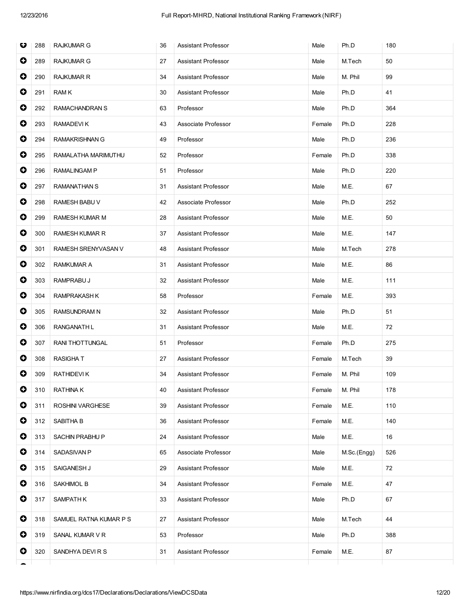| $\bullet$<br>50<br>289<br><b>RAJKUMAR G</b><br>27<br><b>Assistant Professor</b><br>M.Tech<br>Male<br>$\bullet$<br>99<br>290<br><b>RAJKUMAR R</b><br>34<br>Assistant Professor<br>Male<br>M. Phil<br>0<br>291<br><b>RAMK</b><br><b>Assistant Professor</b><br>Ph.D<br>41<br>30<br>Male<br>$\bullet$<br>292<br>Professor<br>Ph.D<br>364<br>RAMACHANDRAN S<br>63<br>Male<br>$\bullet$<br>293<br>RAMADEVIK<br>43<br>Associate Professor<br>Female<br>Ph.D<br>228<br>$\bullet$<br>294<br><b>RAMAKRISHNAN G</b><br>49<br>Ph.D<br>236<br>Professor<br>Male<br>$\bullet$<br>295<br>RAMALATHA MARIMUTHU<br>52<br>Professor<br>Ph.D<br>338<br>Female<br>$\bullet$<br>296<br>Ph.D<br>RAMALINGAM P<br>51<br>Professor<br>Male<br>220<br>$\bullet$<br>297<br>RAMANATHAN S<br>31<br><b>Assistant Professor</b><br>M.E.<br>67<br>Male<br>$\bullet$<br>298<br>Ph.D<br>252<br>RAMESH BABU V<br>42<br>Associate Professor<br>Male<br>$\bullet$<br>299<br>RAMESH KUMAR M<br>28<br>Assistant Professor<br>Male<br>M.E.<br>50<br>0<br>300<br><b>RAMESH KUMAR R</b><br>37<br><b>Assistant Professor</b><br>M.E.<br>147<br>Male<br>$\bullet$<br>301<br><b>Assistant Professor</b><br>278<br>RAMESH SRENYVASAN V<br>48<br>Male<br>M.Tech<br>$\bullet$<br>302<br>RAMKUMAR A<br>31<br><b>Assistant Professor</b><br>M.E.<br>86<br>Male<br>$\bullet$<br>303<br>RAMPRABU J<br>M.E.<br>111<br>32<br>Assistant Professor<br>Male<br>$\bullet$<br>304<br>RAMPRAKASH K<br>58<br>Professor<br>M.E.<br>393<br>Female<br>0<br><b>RAMSUNDRAM N</b><br>Ph.D<br>51<br>305<br>32<br><b>Assistant Professor</b><br>Male<br>$\bullet$<br>RANGANATH L<br>M.E.<br>306<br>31<br>Assistant Professor<br>Male<br>72<br>$\bullet$<br>307<br><b>RANI THOTTUNGAL</b><br>51<br>Professor<br>Female<br>Ph.D<br>275<br>0<br>308<br>39<br>RASIGHA T<br>27<br><b>Assistant Professor</b><br>Female<br>M.Tech<br>0<br>309<br><b>RATHIDEVIK</b><br>Assistant Professor<br>M. Phil<br>109<br>34<br>Female<br>O<br>RATHINA K<br>Assistant Professor<br>178<br>310<br>40<br>Female<br>M. Phil<br>0<br>110<br>311<br>ROSHINI VARGHESE<br>39<br>Assistant Professor<br>Female<br>M.E.<br>0<br>312<br>SABITHA B<br>Assistant Professor<br>M.E.<br>140<br>36<br>Female<br>$\bullet$<br>M.E.<br>16<br>313<br>SACHIN PRABHU P<br>24<br><b>Assistant Professor</b><br>Male<br>0<br>314<br>SADASIVAN P<br>Associate Professor<br>526<br>65<br>Male<br>M.Sc.(Engg)<br>0<br>315<br>SAIGANESH J<br>29<br>Assistant Professor<br>M.E.<br>72<br>Male<br>0<br>316<br>SAKHIMOL B<br>34<br>Assistant Professor<br>M.E.<br>47<br>Female<br>0<br>317<br><b>SAMPATHK</b><br>Assistant Professor<br>Ph.D<br>67<br>33<br>Male<br>0<br>44<br>318<br>SAMUEL RATNA KUMAR P S<br>27<br>Assistant Professor<br>M.Tech<br>Male<br>0<br>319<br>SANAL KUMAR V R<br>Professor<br>Ph.D<br>388<br>53<br>Male<br>0<br>320<br>SANDHYA DEVIRS<br>31<br>Assistant Professor<br>Female<br>M.E.<br>87 | O | 288 | RAJKUMAR G | 36 | Assistant Professor | Male | Ph.D | 180 |
|------------------------------------------------------------------------------------------------------------------------------------------------------------------------------------------------------------------------------------------------------------------------------------------------------------------------------------------------------------------------------------------------------------------------------------------------------------------------------------------------------------------------------------------------------------------------------------------------------------------------------------------------------------------------------------------------------------------------------------------------------------------------------------------------------------------------------------------------------------------------------------------------------------------------------------------------------------------------------------------------------------------------------------------------------------------------------------------------------------------------------------------------------------------------------------------------------------------------------------------------------------------------------------------------------------------------------------------------------------------------------------------------------------------------------------------------------------------------------------------------------------------------------------------------------------------------------------------------------------------------------------------------------------------------------------------------------------------------------------------------------------------------------------------------------------------------------------------------------------------------------------------------------------------------------------------------------------------------------------------------------------------------------------------------------------------------------------------------------------------------------------------------------------------------------------------------------------------------------------------------------------------------------------------------------------------------------------------------------------------------------------------------------------------------------------------------------------------------------------------------------------------------------------------------------------------------------------------------------------------------------------------------------------------------------------------------------------------------------------------------------------------------------------------------------------------------------------------------------------------------------------------------------|---|-----|------------|----|---------------------|------|------|-----|
|                                                                                                                                                                                                                                                                                                                                                                                                                                                                                                                                                                                                                                                                                                                                                                                                                                                                                                                                                                                                                                                                                                                                                                                                                                                                                                                                                                                                                                                                                                                                                                                                                                                                                                                                                                                                                                                                                                                                                                                                                                                                                                                                                                                                                                                                                                                                                                                                                                                                                                                                                                                                                                                                                                                                                                                                                                                                                                      |   |     |            |    |                     |      |      |     |
|                                                                                                                                                                                                                                                                                                                                                                                                                                                                                                                                                                                                                                                                                                                                                                                                                                                                                                                                                                                                                                                                                                                                                                                                                                                                                                                                                                                                                                                                                                                                                                                                                                                                                                                                                                                                                                                                                                                                                                                                                                                                                                                                                                                                                                                                                                                                                                                                                                                                                                                                                                                                                                                                                                                                                                                                                                                                                                      |   |     |            |    |                     |      |      |     |
|                                                                                                                                                                                                                                                                                                                                                                                                                                                                                                                                                                                                                                                                                                                                                                                                                                                                                                                                                                                                                                                                                                                                                                                                                                                                                                                                                                                                                                                                                                                                                                                                                                                                                                                                                                                                                                                                                                                                                                                                                                                                                                                                                                                                                                                                                                                                                                                                                                                                                                                                                                                                                                                                                                                                                                                                                                                                                                      |   |     |            |    |                     |      |      |     |
|                                                                                                                                                                                                                                                                                                                                                                                                                                                                                                                                                                                                                                                                                                                                                                                                                                                                                                                                                                                                                                                                                                                                                                                                                                                                                                                                                                                                                                                                                                                                                                                                                                                                                                                                                                                                                                                                                                                                                                                                                                                                                                                                                                                                                                                                                                                                                                                                                                                                                                                                                                                                                                                                                                                                                                                                                                                                                                      |   |     |            |    |                     |      |      |     |
|                                                                                                                                                                                                                                                                                                                                                                                                                                                                                                                                                                                                                                                                                                                                                                                                                                                                                                                                                                                                                                                                                                                                                                                                                                                                                                                                                                                                                                                                                                                                                                                                                                                                                                                                                                                                                                                                                                                                                                                                                                                                                                                                                                                                                                                                                                                                                                                                                                                                                                                                                                                                                                                                                                                                                                                                                                                                                                      |   |     |            |    |                     |      |      |     |
|                                                                                                                                                                                                                                                                                                                                                                                                                                                                                                                                                                                                                                                                                                                                                                                                                                                                                                                                                                                                                                                                                                                                                                                                                                                                                                                                                                                                                                                                                                                                                                                                                                                                                                                                                                                                                                                                                                                                                                                                                                                                                                                                                                                                                                                                                                                                                                                                                                                                                                                                                                                                                                                                                                                                                                                                                                                                                                      |   |     |            |    |                     |      |      |     |
|                                                                                                                                                                                                                                                                                                                                                                                                                                                                                                                                                                                                                                                                                                                                                                                                                                                                                                                                                                                                                                                                                                                                                                                                                                                                                                                                                                                                                                                                                                                                                                                                                                                                                                                                                                                                                                                                                                                                                                                                                                                                                                                                                                                                                                                                                                                                                                                                                                                                                                                                                                                                                                                                                                                                                                                                                                                                                                      |   |     |            |    |                     |      |      |     |
|                                                                                                                                                                                                                                                                                                                                                                                                                                                                                                                                                                                                                                                                                                                                                                                                                                                                                                                                                                                                                                                                                                                                                                                                                                                                                                                                                                                                                                                                                                                                                                                                                                                                                                                                                                                                                                                                                                                                                                                                                                                                                                                                                                                                                                                                                                                                                                                                                                                                                                                                                                                                                                                                                                                                                                                                                                                                                                      |   |     |            |    |                     |      |      |     |
|                                                                                                                                                                                                                                                                                                                                                                                                                                                                                                                                                                                                                                                                                                                                                                                                                                                                                                                                                                                                                                                                                                                                                                                                                                                                                                                                                                                                                                                                                                                                                                                                                                                                                                                                                                                                                                                                                                                                                                                                                                                                                                                                                                                                                                                                                                                                                                                                                                                                                                                                                                                                                                                                                                                                                                                                                                                                                                      |   |     |            |    |                     |      |      |     |
|                                                                                                                                                                                                                                                                                                                                                                                                                                                                                                                                                                                                                                                                                                                                                                                                                                                                                                                                                                                                                                                                                                                                                                                                                                                                                                                                                                                                                                                                                                                                                                                                                                                                                                                                                                                                                                                                                                                                                                                                                                                                                                                                                                                                                                                                                                                                                                                                                                                                                                                                                                                                                                                                                                                                                                                                                                                                                                      |   |     |            |    |                     |      |      |     |
|                                                                                                                                                                                                                                                                                                                                                                                                                                                                                                                                                                                                                                                                                                                                                                                                                                                                                                                                                                                                                                                                                                                                                                                                                                                                                                                                                                                                                                                                                                                                                                                                                                                                                                                                                                                                                                                                                                                                                                                                                                                                                                                                                                                                                                                                                                                                                                                                                                                                                                                                                                                                                                                                                                                                                                                                                                                                                                      |   |     |            |    |                     |      |      |     |
|                                                                                                                                                                                                                                                                                                                                                                                                                                                                                                                                                                                                                                                                                                                                                                                                                                                                                                                                                                                                                                                                                                                                                                                                                                                                                                                                                                                                                                                                                                                                                                                                                                                                                                                                                                                                                                                                                                                                                                                                                                                                                                                                                                                                                                                                                                                                                                                                                                                                                                                                                                                                                                                                                                                                                                                                                                                                                                      |   |     |            |    |                     |      |      |     |
|                                                                                                                                                                                                                                                                                                                                                                                                                                                                                                                                                                                                                                                                                                                                                                                                                                                                                                                                                                                                                                                                                                                                                                                                                                                                                                                                                                                                                                                                                                                                                                                                                                                                                                                                                                                                                                                                                                                                                                                                                                                                                                                                                                                                                                                                                                                                                                                                                                                                                                                                                                                                                                                                                                                                                                                                                                                                                                      |   |     |            |    |                     |      |      |     |
|                                                                                                                                                                                                                                                                                                                                                                                                                                                                                                                                                                                                                                                                                                                                                                                                                                                                                                                                                                                                                                                                                                                                                                                                                                                                                                                                                                                                                                                                                                                                                                                                                                                                                                                                                                                                                                                                                                                                                                                                                                                                                                                                                                                                                                                                                                                                                                                                                                                                                                                                                                                                                                                                                                                                                                                                                                                                                                      |   |     |            |    |                     |      |      |     |
|                                                                                                                                                                                                                                                                                                                                                                                                                                                                                                                                                                                                                                                                                                                                                                                                                                                                                                                                                                                                                                                                                                                                                                                                                                                                                                                                                                                                                                                                                                                                                                                                                                                                                                                                                                                                                                                                                                                                                                                                                                                                                                                                                                                                                                                                                                                                                                                                                                                                                                                                                                                                                                                                                                                                                                                                                                                                                                      |   |     |            |    |                     |      |      |     |
|                                                                                                                                                                                                                                                                                                                                                                                                                                                                                                                                                                                                                                                                                                                                                                                                                                                                                                                                                                                                                                                                                                                                                                                                                                                                                                                                                                                                                                                                                                                                                                                                                                                                                                                                                                                                                                                                                                                                                                                                                                                                                                                                                                                                                                                                                                                                                                                                                                                                                                                                                                                                                                                                                                                                                                                                                                                                                                      |   |     |            |    |                     |      |      |     |
|                                                                                                                                                                                                                                                                                                                                                                                                                                                                                                                                                                                                                                                                                                                                                                                                                                                                                                                                                                                                                                                                                                                                                                                                                                                                                                                                                                                                                                                                                                                                                                                                                                                                                                                                                                                                                                                                                                                                                                                                                                                                                                                                                                                                                                                                                                                                                                                                                                                                                                                                                                                                                                                                                                                                                                                                                                                                                                      |   |     |            |    |                     |      |      |     |
|                                                                                                                                                                                                                                                                                                                                                                                                                                                                                                                                                                                                                                                                                                                                                                                                                                                                                                                                                                                                                                                                                                                                                                                                                                                                                                                                                                                                                                                                                                                                                                                                                                                                                                                                                                                                                                                                                                                                                                                                                                                                                                                                                                                                                                                                                                                                                                                                                                                                                                                                                                                                                                                                                                                                                                                                                                                                                                      |   |     |            |    |                     |      |      |     |
|                                                                                                                                                                                                                                                                                                                                                                                                                                                                                                                                                                                                                                                                                                                                                                                                                                                                                                                                                                                                                                                                                                                                                                                                                                                                                                                                                                                                                                                                                                                                                                                                                                                                                                                                                                                                                                                                                                                                                                                                                                                                                                                                                                                                                                                                                                                                                                                                                                                                                                                                                                                                                                                                                                                                                                                                                                                                                                      |   |     |            |    |                     |      |      |     |
|                                                                                                                                                                                                                                                                                                                                                                                                                                                                                                                                                                                                                                                                                                                                                                                                                                                                                                                                                                                                                                                                                                                                                                                                                                                                                                                                                                                                                                                                                                                                                                                                                                                                                                                                                                                                                                                                                                                                                                                                                                                                                                                                                                                                                                                                                                                                                                                                                                                                                                                                                                                                                                                                                                                                                                                                                                                                                                      |   |     |            |    |                     |      |      |     |
|                                                                                                                                                                                                                                                                                                                                                                                                                                                                                                                                                                                                                                                                                                                                                                                                                                                                                                                                                                                                                                                                                                                                                                                                                                                                                                                                                                                                                                                                                                                                                                                                                                                                                                                                                                                                                                                                                                                                                                                                                                                                                                                                                                                                                                                                                                                                                                                                                                                                                                                                                                                                                                                                                                                                                                                                                                                                                                      |   |     |            |    |                     |      |      |     |
|                                                                                                                                                                                                                                                                                                                                                                                                                                                                                                                                                                                                                                                                                                                                                                                                                                                                                                                                                                                                                                                                                                                                                                                                                                                                                                                                                                                                                                                                                                                                                                                                                                                                                                                                                                                                                                                                                                                                                                                                                                                                                                                                                                                                                                                                                                                                                                                                                                                                                                                                                                                                                                                                                                                                                                                                                                                                                                      |   |     |            |    |                     |      |      |     |
|                                                                                                                                                                                                                                                                                                                                                                                                                                                                                                                                                                                                                                                                                                                                                                                                                                                                                                                                                                                                                                                                                                                                                                                                                                                                                                                                                                                                                                                                                                                                                                                                                                                                                                                                                                                                                                                                                                                                                                                                                                                                                                                                                                                                                                                                                                                                                                                                                                                                                                                                                                                                                                                                                                                                                                                                                                                                                                      |   |     |            |    |                     |      |      |     |
|                                                                                                                                                                                                                                                                                                                                                                                                                                                                                                                                                                                                                                                                                                                                                                                                                                                                                                                                                                                                                                                                                                                                                                                                                                                                                                                                                                                                                                                                                                                                                                                                                                                                                                                                                                                                                                                                                                                                                                                                                                                                                                                                                                                                                                                                                                                                                                                                                                                                                                                                                                                                                                                                                                                                                                                                                                                                                                      |   |     |            |    |                     |      |      |     |
|                                                                                                                                                                                                                                                                                                                                                                                                                                                                                                                                                                                                                                                                                                                                                                                                                                                                                                                                                                                                                                                                                                                                                                                                                                                                                                                                                                                                                                                                                                                                                                                                                                                                                                                                                                                                                                                                                                                                                                                                                                                                                                                                                                                                                                                                                                                                                                                                                                                                                                                                                                                                                                                                                                                                                                                                                                                                                                      |   |     |            |    |                     |      |      |     |
|                                                                                                                                                                                                                                                                                                                                                                                                                                                                                                                                                                                                                                                                                                                                                                                                                                                                                                                                                                                                                                                                                                                                                                                                                                                                                                                                                                                                                                                                                                                                                                                                                                                                                                                                                                                                                                                                                                                                                                                                                                                                                                                                                                                                                                                                                                                                                                                                                                                                                                                                                                                                                                                                                                                                                                                                                                                                                                      |   |     |            |    |                     |      |      |     |
|                                                                                                                                                                                                                                                                                                                                                                                                                                                                                                                                                                                                                                                                                                                                                                                                                                                                                                                                                                                                                                                                                                                                                                                                                                                                                                                                                                                                                                                                                                                                                                                                                                                                                                                                                                                                                                                                                                                                                                                                                                                                                                                                                                                                                                                                                                                                                                                                                                                                                                                                                                                                                                                                                                                                                                                                                                                                                                      |   |     |            |    |                     |      |      |     |
|                                                                                                                                                                                                                                                                                                                                                                                                                                                                                                                                                                                                                                                                                                                                                                                                                                                                                                                                                                                                                                                                                                                                                                                                                                                                                                                                                                                                                                                                                                                                                                                                                                                                                                                                                                                                                                                                                                                                                                                                                                                                                                                                                                                                                                                                                                                                                                                                                                                                                                                                                                                                                                                                                                                                                                                                                                                                                                      |   |     |            |    |                     |      |      |     |
|                                                                                                                                                                                                                                                                                                                                                                                                                                                                                                                                                                                                                                                                                                                                                                                                                                                                                                                                                                                                                                                                                                                                                                                                                                                                                                                                                                                                                                                                                                                                                                                                                                                                                                                                                                                                                                                                                                                                                                                                                                                                                                                                                                                                                                                                                                                                                                                                                                                                                                                                                                                                                                                                                                                                                                                                                                                                                                      |   |     |            |    |                     |      |      |     |
|                                                                                                                                                                                                                                                                                                                                                                                                                                                                                                                                                                                                                                                                                                                                                                                                                                                                                                                                                                                                                                                                                                                                                                                                                                                                                                                                                                                                                                                                                                                                                                                                                                                                                                                                                                                                                                                                                                                                                                                                                                                                                                                                                                                                                                                                                                                                                                                                                                                                                                                                                                                                                                                                                                                                                                                                                                                                                                      |   |     |            |    |                     |      |      |     |
|                                                                                                                                                                                                                                                                                                                                                                                                                                                                                                                                                                                                                                                                                                                                                                                                                                                                                                                                                                                                                                                                                                                                                                                                                                                                                                                                                                                                                                                                                                                                                                                                                                                                                                                                                                                                                                                                                                                                                                                                                                                                                                                                                                                                                                                                                                                                                                                                                                                                                                                                                                                                                                                                                                                                                                                                                                                                                                      |   |     |            |    |                     |      |      |     |
|                                                                                                                                                                                                                                                                                                                                                                                                                                                                                                                                                                                                                                                                                                                                                                                                                                                                                                                                                                                                                                                                                                                                                                                                                                                                                                                                                                                                                                                                                                                                                                                                                                                                                                                                                                                                                                                                                                                                                                                                                                                                                                                                                                                                                                                                                                                                                                                                                                                                                                                                                                                                                                                                                                                                                                                                                                                                                                      |   |     |            |    |                     |      |      |     |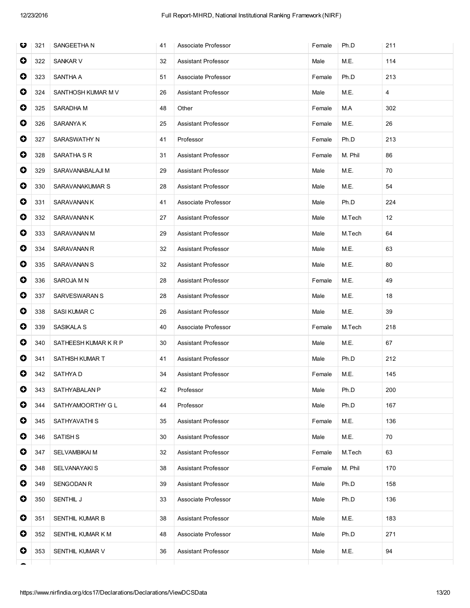| O         | 321 | SANGEETHA N          | 41 | Associate Professor        | Female | Ph.D    | 211 |
|-----------|-----|----------------------|----|----------------------------|--------|---------|-----|
| $\bullet$ | 322 | <b>SANKAR V</b>      | 32 | Assistant Professor        | Male   | M.E.    | 114 |
| 0         | 323 | SANTHA A             | 51 | Associate Professor        | Female | Ph.D    | 213 |
| 0         | 324 | SANTHOSH KUMAR M V   | 26 | <b>Assistant Professor</b> | Male   | M.E.    | 4   |
| $\bullet$ | 325 | SARADHA M            | 48 | Other                      | Female | M.A     | 302 |
| $\bullet$ | 326 | SARANYA K            | 25 | Assistant Professor        | Female | M.E.    | 26  |
| $\bullet$ | 327 | SARASWATHY N         | 41 | Professor                  | Female | Ph.D    | 213 |
| 0         | 328 | SARATHA S R          | 31 | Assistant Professor        | Female | M. Phil | 86  |
| 0         | 329 | SARAVANABALAJI M     | 29 | Assistant Professor        | Male   | M.E.    | 70  |
| $\bullet$ | 330 | SARAVANAKUMAR S      | 28 | Assistant Professor        | Male   | M.E.    | 54  |
| $\bullet$ | 331 | SARAVANAN K          | 41 | Associate Professor        | Male   | Ph.D    | 224 |
| $\bullet$ | 332 | SARAVANAN K          | 27 | Assistant Professor        | Male   | M.Tech  | 12  |
| 0         | 333 | SARAVANAN M          | 29 | <b>Assistant Professor</b> | Male   | M.Tech  | 64  |
| 0         | 334 | SARAVANAN R          | 32 | Assistant Professor        | Male   | M.E.    | 63  |
| $\bullet$ | 335 | SARAVANAN S          | 32 | <b>Assistant Professor</b> | Male   | M.E.    | 80  |
| $\bullet$ | 336 | SAROJA M N           | 28 | Assistant Professor        | Female | M.E.    | 49  |
| $\bullet$ | 337 | SARVESWARAN S        | 28 | Assistant Professor        | Male   | M.E.    | 18  |
| 0         | 338 | SASI KUMAR C         | 26 | Assistant Professor        | Male   | M.E.    | 39  |
| 0         | 339 | SASIKALA S           | 40 | Associate Professor        | Female | M.Tech  | 218 |
| 0         | 340 | SATHEESH KUMAR K R P | 30 | <b>Assistant Professor</b> | Male   | M.E.    | 67  |
| 0         | 341 | SATHISH KUMAR T      | 41 | Assistant Professor        | Male   | Ph.D    | 212 |
| 0         | 342 | SATHYA D             | 34 | <b>Assistant Professor</b> | Female | M.E.    | 145 |
| O         | 343 | SATHYABALAN P        | 42 | Professor                  | Male   | Ph.D    | 200 |
| 0         | 344 | SATHYAMOORTHY G L    | 44 | Professor                  | Male   | Ph.D    | 167 |
| 0         | 345 | SATHYAVATHI S        | 35 | Assistant Professor        | Female | M.E.    | 136 |
| 0         | 346 | <b>SATISH S</b>      | 30 | Assistant Professor        | Male   | M.E.    | 70  |
| 0         | 347 | <b>SELVAMBIKAI M</b> | 32 | Assistant Professor        | Female | M.Tech  | 63  |
| 0         | 348 | SELVANAYAKI S        | 38 | Assistant Professor        | Female | M. Phil | 170 |
| 0         | 349 | <b>SENGODAN R</b>    | 39 | Assistant Professor        | Male   | Ph.D    | 158 |
| 0         | 350 | SENTHIL J            | 33 | Associate Professor        | Male   | Ph.D    | 136 |
| 0         | 351 | SENTHIL KUMAR B      | 38 | Assistant Professor        | Male   | M.E.    | 183 |
| 0         | 352 | SENTHIL KUMAR K M    | 48 | Associate Professor        | Male   | Ph.D    | 271 |
| 0         | 353 | SENTHIL KUMAR V      | 36 | Assistant Professor        | Male   | M.E.    | 94  |
|           |     |                      |    |                            |        |         |     |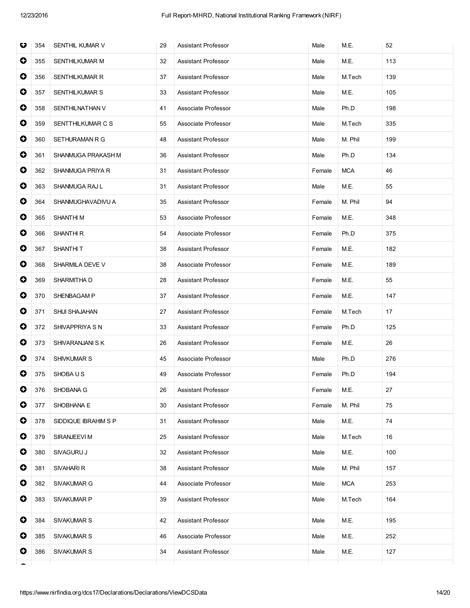| O         | 354 | SENTHIL KUMAR V       | 29 | <b>Assistant Professor</b> | Male   | M.E.       | 52  |
|-----------|-----|-----------------------|----|----------------------------|--------|------------|-----|
| 0         | 355 | SENTHILKUMAR M        | 32 | <b>Assistant Professor</b> | Male   | M.E.       | 113 |
| 0         | 356 | SENTHILKUMAR R        | 37 | Assistant Professor        | Male   | M.Tech     | 139 |
| 0         | 357 | <b>SENTHILKUMAR S</b> | 33 | <b>Assistant Professor</b> | Male   | M.E.       | 105 |
| $\bullet$ | 358 | SENTHILNATHAN V       | 41 | Associate Professor        | Male   | Ph.D       | 198 |
| $\bullet$ | 359 | SENTTHILKUMAR C S     | 55 | Associate Professor        | Male   | M.Tech     | 335 |
| $\bullet$ | 360 | SETHURAMAN R G        | 48 | Assistant Professor        | Male   | M. Phil    | 199 |
| 0         | 361 | SHANMUGA PRAKASH M    | 36 | Assistant Professor        | Male   | Ph.D       | 134 |
| 0         | 362 | SHANMUGA PRIYA R      | 31 | Assistant Professor        | Female | <b>MCA</b> | 46  |
| 0         | 363 | SHANMUGA RAJ L        | 31 | Assistant Professor        | Male   | M.E.       | 55  |
| $\bullet$ | 364 | SHANMUGHAVADIVU A     | 35 | <b>Assistant Professor</b> | Female | M. Phil    | 94  |
| $\bullet$ | 365 | <b>SHANTHIM</b>       | 53 | Associate Professor        | Female | M.E.       | 348 |
| 0         | 366 | <b>SHANTHIR</b>       | 54 | Associate Professor        | Female | Ph.D       | 375 |
| 0         | 367 | <b>SHANTHIT</b>       | 38 | <b>Assistant Professor</b> | Female | M.E.       | 182 |
| $\bullet$ | 368 | SHARMILA DEVE V       | 38 | Associate Professor        | Female | M.E.       | 189 |
| $\bullet$ | 369 | SHARMITHA D           | 28 | Assistant Professor        | Female | M.E.       | 55  |
| $\bullet$ | 370 | SHENBAGAM P           | 37 | Assistant Professor        | Female | M.E.       | 147 |
| 0         | 371 | SHIJI SHAJAHAN        | 27 | Assistant Professor        | Female | M.Tech     | 17  |
| 0         | 372 | SHIVAPPRIYA S N       | 33 | Assistant Professor        | Female | Ph.D       | 125 |
| 0         | 373 | SHIVARANJANI S K      | 26 | <b>Assistant Professor</b> | Female | M.E.       | 26  |
| 0         | 374 | SHIVKUMAR S           | 45 | Associate Professor        | Male   | Ph.D       | 276 |
| 0         | 375 | SHOBA U S             | 49 | Associate Professor        | Female | Ph.D       | 194 |
| $\bullet$ | 376 | SHOBANA G             | 26 | Assistant Professor        | Female | M.E.       | 27  |
| 0         | 377 | SHOBHANA E            | 30 | Assistant Professor        | Female | M. Phil    | 75  |
| $\bullet$ | 378 | SIDDIQUE IBRAHIM S P  | 31 | <b>Assistant Professor</b> | Male   | M.E.       | 74  |
| 0         | 379 | SIRANJEEVI M          | 25 | Assistant Professor        | Male   | M.Tech     | 16  |
| $\bullet$ | 380 | SIVAGURU J            | 32 | Assistant Professor        | Male   | M.E.       | 100 |
| 0         | 381 | SIVAHARI R            | 38 | <b>Assistant Professor</b> | Male   | M. Phil    | 157 |
| 0         | 382 | SIVAKUMAR G           | 44 | Associate Professor        | Male   | <b>MCA</b> | 253 |
| 0         | 383 | SIVAKUMAR P           | 39 | Assistant Professor        | Male   | M.Tech     | 164 |
| 0         | 384 | <b>SIVAKUMAR S</b>    | 42 | Assistant Professor        | Male   | M.E.       | 195 |
| 0         | 385 | SIVAKUMAR S           | 46 | Associate Professor        | Male   | M.E.       | 252 |
| 0         | 386 | <b>SIVAKUMAR S</b>    | 34 | Assistant Professor        | Male   | M.E.       | 127 |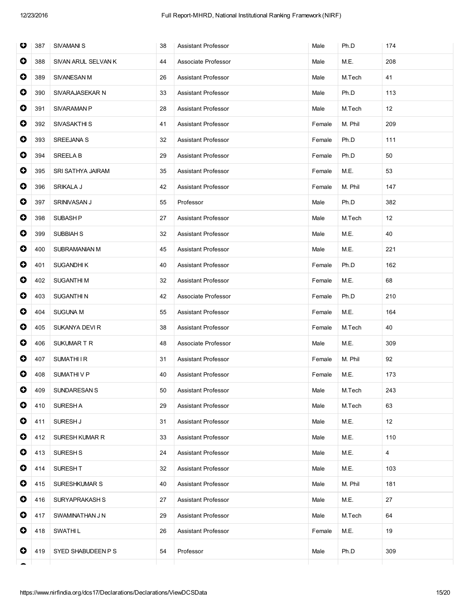| O         | 387 | <b>SIVAMANI S</b>   | 38 | <b>Assistant Professor</b> | Male   | Ph.D    | 174 |
|-----------|-----|---------------------|----|----------------------------|--------|---------|-----|
| $\bullet$ | 388 | SIVAN ARUL SELVAN K | 44 | Associate Professor        | Male   | M.E.    | 208 |
| $\bullet$ | 389 | SIVANESAN M         | 26 | <b>Assistant Professor</b> | Male   | M.Tech  | 41  |
| $\bullet$ | 390 | SIVARAJASEKAR N     | 33 | <b>Assistant Professor</b> | Male   | Ph.D    | 113 |
| $\bullet$ | 391 | <b>SIVARAMAN P</b>  | 28 | Assistant Professor        | Male   | M.Tech  | 12  |
| 0         | 392 | SIVASAKTHI S        | 41 | Assistant Professor        | Female | M. Phil | 209 |
| $\bullet$ | 393 | SREEJANA S          | 32 | <b>Assistant Professor</b> | Female | Ph.D    | 111 |
| $\bullet$ | 394 | <b>SREELA B</b>     | 29 | Assistant Professor        | Female | Ph.D    | 50  |
| $\bullet$ | 395 | SRI SATHYA JAIRAM   | 35 | Assistant Professor        | Female | M.E.    | 53  |
| 0         | 396 | SRIKALA J           | 42 | <b>Assistant Professor</b> | Female | M. Phil | 147 |
| $\bullet$ | 397 | SRINIVASAN J        | 55 | Professor                  | Male   | Ph.D    | 382 |
| $\bullet$ | 398 | <b>SUBASH P</b>     | 27 | <b>Assistant Professor</b> | Male   | M.Tech  | 12  |
| $\bullet$ | 399 | <b>SUBBIAH S</b>    | 32 | Assistant Professor        | Male   | M.E.    | 40  |
| $\bullet$ | 400 | SUBRAMANIAN M       | 45 | Assistant Professor        | Male   | M.E.    | 221 |
| 0         | 401 | <b>SUGANDHIK</b>    | 40 | Assistant Professor        | Female | Ph.D    | 162 |
| $\bullet$ | 402 | <b>SUGANTHIM</b>    | 32 | <b>Assistant Professor</b> | Female | M.E.    | 68  |
| $\bullet$ | 403 | <b>SUGANTHIN</b>    | 42 | Associate Professor        | Female | Ph.D    | 210 |
| $\bullet$ | 404 | <b>SUGUNA M</b>     | 55 | Assistant Professor        | Female | M.E.    | 164 |
| $\bullet$ | 405 | SUKANYA DEVI R      | 38 | Assistant Professor        | Female | M.Tech  | 40  |
| 0         | 406 | SUKUMART R          | 48 | Associate Professor        | Male   | M.E.    | 309 |
| 0         | 407 | <b>SUMATHIIR</b>    | 31 | <b>Assistant Professor</b> | Female | M. Phil | 92  |
| 0         | 408 | SUMATHIVP           | 40 | <b>Assistant Professor</b> | Female | M.E.    | 173 |
| $\bullet$ | 409 | <b>SUNDARESAN S</b> | 50 | <b>Assistant Professor</b> | Male   | M.Tech  | 243 |
| 0         | 410 | SURESH A            | 29 | <b>Assistant Professor</b> | Male   | M.Tech  | 63  |
| 0         | 411 | SURESH J            | 31 | Assistant Professor        | Male   | M.E.    | 12  |
| 0         | 412 | SURESH KUMAR R      | 33 | Assistant Professor        | Male   | M.E.    | 110 |
| $\bullet$ | 413 | SURESH <sub>S</sub> | 24 | Assistant Professor        | Male   | M.E.    | 4   |
| 0         | 414 | SURESH T            | 32 | <b>Assistant Professor</b> | Male   | M.E.    | 103 |
| 0         | 415 | SURESHKUMAR S       | 40 | Assistant Professor        | Male   | M. Phil | 181 |
| 0         | 416 | SURYAPRAKASH S      | 27 | Assistant Professor        | Male   | M.E.    | 27  |
| 0         | 417 | SWAMINATHAN J N     | 29 | Assistant Professor        | Male   | M.Tech  | 64  |
| 0         | 418 | <b>SWATHIL</b>      | 26 | Assistant Professor        | Female | M.E.    | 19  |
| 0         | 419 | SYED SHABUDEEN P S  | 54 | Professor                  | Male   | Ph.D    | 309 |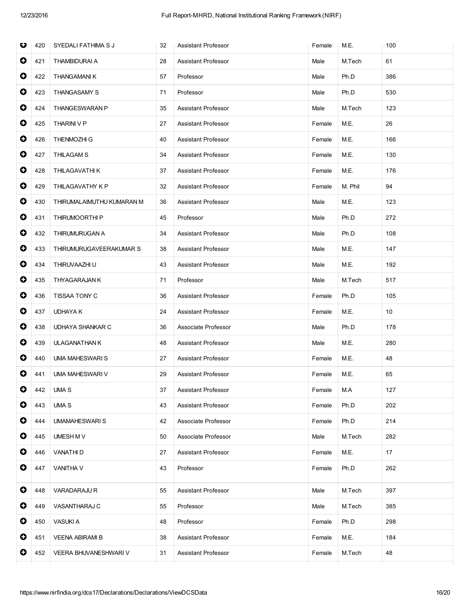| O         | 420 | SYEDALI FATHIMA S J          | 32 | <b>Assistant Professor</b> | Female | M.E.    | 100 |
|-----------|-----|------------------------------|----|----------------------------|--------|---------|-----|
| $\bullet$ | 421 | <b>THAMBIDURAI A</b>         | 28 | <b>Assistant Professor</b> | Male   | M.Tech  | 61  |
| 0         | 422 | THANGAMANIK                  | 57 | Professor                  | Male   | Ph.D    | 386 |
| 0         | 423 | <b>THANGASAMY S</b>          | 71 | Professor                  | Male   | Ph.D    | 530 |
| $\bullet$ | 424 | THANGESWARAN P               | 35 | <b>Assistant Professor</b> | Male   | M.Tech  | 123 |
| $\bullet$ | 425 | <b>THARINI V P</b>           | 27 | <b>Assistant Professor</b> | Female | M.E.    | 26  |
| $\bullet$ | 426 | <b>THENMOZHI G</b>           | 40 | Assistant Professor        | Female | M.E.    | 166 |
| 0         | 427 | <b>THILAGAM S</b>            | 34 | Assistant Professor        | Female | M.E.    | 130 |
| $\bullet$ | 428 | THILAGAVATHI K               | 37 | <b>Assistant Professor</b> | Female | M.E.    | 176 |
| $\bullet$ | 429 | THILAGAVATHY K P             | 32 | Assistant Professor        | Female | M. Phil | 94  |
| $\bullet$ | 430 | THIRUMALAIMUTHU KUMARAN M    | 36 | <b>Assistant Professor</b> | Male   | M.E.    | 123 |
| $\bullet$ | 431 | THIRUMOORTHI P               | 45 | Professor                  | Male   | Ph.D    | 272 |
| 0         | 432 | THIRUMURUGAN A               | 34 | Assistant Professor        | Male   | Ph.D    | 108 |
| 0         | 433 | THIRUMURUGAVEERAKUMAR S      | 38 | <b>Assistant Professor</b> | Male   | M.E.    | 147 |
| $\bullet$ | 434 | THIRUVAAZHI U                | 43 | Assistant Professor        | Male   | M.E.    | 192 |
| $\bullet$ | 435 | THYAGARAJAN K                | 71 | Professor                  | Male   | M.Tech  | 517 |
| $\bullet$ | 436 | TISSAA TONY C                | 36 | Assistant Professor        | Female | Ph.D    | 105 |
| 0         | 437 | <b>UDHAYA K</b>              | 24 | Assistant Professor        | Female | M.E.    | 10  |
| $\bullet$ | 438 | UDHAYA SHANKAR C             | 36 | Associate Professor        | Male   | Ph.D    | 178 |
| 0         | 439 | <b>ULAGANATHAN K</b>         | 48 | Assistant Professor        | Male   | M.E.    | 280 |
| 0         | 440 | UMA MAHESWARI S              | 27 | <b>Assistant Professor</b> | Female | M.E.    | 48  |
| 0         | 441 | UMA MAHESWARI V              | 29 | Assistant Professor        | Female | M.E.    | 65  |
| $\bullet$ | 442 | UMA S                        | 37 | <b>Assistant Professor</b> | Female | M.A     | 127 |
| 0         | 443 | <b>UMA S</b>                 | 43 | <b>Assistant Professor</b> | Female | Ph.D    | 202 |
| 0         | 444 | UMAMAHESWARI S               | 42 | Associate Professor        | Female | Ph.D    | 214 |
| 0         | 445 | UMESH M V                    | 50 | Associate Professor        | Male   | M.Tech  | 282 |
| $\bullet$ | 446 | <b>VANATHID</b>              | 27 | Assistant Professor        | Female | M.E.    | 17  |
| 0         | 447 | <b>VANITHA V</b>             | 43 | Professor                  | Female | Ph.D    | 262 |
| $\bullet$ | 448 | <b>VARADARAJU R</b>          | 55 | Assistant Professor        | Male   | M.Tech  | 397 |
| 0         | 449 | VASANTHARAJ C                | 55 | Professor                  | Male   | M.Tech  | 385 |
| 0         | 450 | <b>VASUKI A</b>              | 48 | Professor                  | Female | Ph.D    | 298 |
| 0         | 451 | <b>VEENA ABIRAMI B</b>       | 38 | Assistant Professor        | Female | M.E.    | 184 |
| 0         | 452 | <b>VEERA BHUVANESHWARI V</b> | 31 | Assistant Professor        | Female | M.Tech  | 48  |
|           |     |                              |    |                            |        |         |     |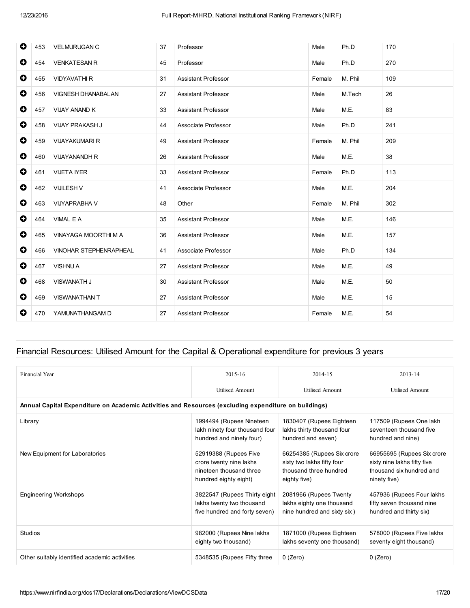| 0         | 453 | <b>VELMURUGAN C</b>       | 37 | Professor                  | Male   | Ph.D    | 170 |
|-----------|-----|---------------------------|----|----------------------------|--------|---------|-----|
| $\bullet$ | 454 | <b>VENKATESAN R</b>       | 45 | Professor                  | Male   | Ph.D    | 270 |
| $\bullet$ | 455 | <b>VIDYAVATHI R</b>       | 31 | <b>Assistant Professor</b> | Female | M. Phil | 109 |
| 0         | 456 | <b>VIGNESH DHANABALAN</b> | 27 | <b>Assistant Professor</b> | Male   | M.Tech  | 26  |
| 0         | 457 | <b>VIJAY ANAND K</b>      | 33 | <b>Assistant Professor</b> | Male   | M.E.    | 83  |
| $\bullet$ | 458 | <b>VIJAY PRAKASH J</b>    | 44 | Associate Professor        | Male   | Ph.D    | 241 |
| 0         | 459 | <b>VIJAYAKUMARI R</b>     | 49 | <b>Assistant Professor</b> | Female | M. Phil | 209 |
| $\bullet$ | 460 | <b>VIJAYANANDH R</b>      | 26 | <b>Assistant Professor</b> | Male   | M.E.    | 38  |
| $\bullet$ | 461 | <b>VIJETA IYER</b>        | 33 | <b>Assistant Professor</b> | Female | Ph.D    | 113 |
| 0         | 462 | <b>VIJILESH V</b>         | 41 | Associate Professor        | Male   | M.E.    | 204 |
| $\bullet$ | 463 | <b>VIJYAPRABHA V</b>      | 48 | Other                      | Female | M. Phil | 302 |
| $\bullet$ | 464 | VIMAL E A                 | 35 | <b>Assistant Professor</b> | Male   | M.E.    | 146 |
| $\bullet$ | 465 | VINAYAGA MOORTHI M A      | 36 | <b>Assistant Professor</b> | Male   | M.E.    | 157 |
| $\bullet$ | 466 | VINOHAR STEPHENRAPHEAL    | 41 | Associate Professor        | Male   | Ph.D    | 134 |
| 0         | 467 | <b>VISHNU A</b>           | 27 | <b>Assistant Professor</b> | Male   | M.E.    | 49  |
| $\bullet$ | 468 | <b>VISWANATH J</b>        | 30 | <b>Assistant Professor</b> | Male   | M.E.    | 50  |
| $\bullet$ | 469 | <b>VISWANATHAN T</b>      | 27 | <b>Assistant Professor</b> | Male   | M.E.    | 15  |
| 0         | 470 | YAMUNATHANGAM D           | 27 | <b>Assistant Professor</b> | Female | M.E.    | 54  |

## Financial Resources: Utilised Amount for the Capital & Operational expenditure for previous 3 years

| Financial Year                                                                                       | 2015-16                                                                                              | 2014-15                                                                                            | 2013-14                                                                                               |  |  |  |  |  |  |  |
|------------------------------------------------------------------------------------------------------|------------------------------------------------------------------------------------------------------|----------------------------------------------------------------------------------------------------|-------------------------------------------------------------------------------------------------------|--|--|--|--|--|--|--|
|                                                                                                      | <b>Utilised Amount</b>                                                                               | <b>Utilised Amount</b>                                                                             | <b>Utilised Amount</b>                                                                                |  |  |  |  |  |  |  |
| Annual Capital Expenditure on Academic Activities and Resources (excluding expenditure on buildings) |                                                                                                      |                                                                                                    |                                                                                                       |  |  |  |  |  |  |  |
| Library                                                                                              | 1994494 (Rupees Nineteen<br>lakh ninety four thousand four<br>hundred and ninety four)               | 1830407 (Rupees Eighteen<br>lakhs thirty thousand four<br>hundred and seven)                       | 117509 (Rupees One lakh<br>seventeen thousand five<br>hundred and nine)                               |  |  |  |  |  |  |  |
| New Equipment for Laboratories                                                                       | 52919388 (Rupees Five<br>crore twenty nine lakhs<br>nineteen thousand three<br>hundred eighty eight) | 66254385 (Rupees Six crore<br>sixty two lakhs fifty four<br>thousand three hundred<br>eighty five) | 66955695 (Rupees Six crore<br>sixty nine lakhs fifty five<br>thousand six hundred and<br>ninety five) |  |  |  |  |  |  |  |
| <b>Engineering Workshops</b>                                                                         | 3822547 (Rupees Thirty eight<br>lakhs twenty two thousand<br>five hundred and forty seven)           | 2081966 (Rupees Twenty<br>lakhs eighty one thousand<br>nine hundred and sixty six)                 | 457936 (Rupees Four lakhs<br>fifty seven thousand nine<br>hundred and thirty six)                     |  |  |  |  |  |  |  |
| Studios                                                                                              | 982000 (Rupees Nine lakhs<br>eighty two thousand)                                                    | 1871000 (Rupees Eighteen<br>lakhs seventy one thousand)                                            | 578000 (Rupees Five lakhs<br>seventy eight thousand)                                                  |  |  |  |  |  |  |  |
| Other suitably identified academic activities                                                        | 5348535 (Rupees Fifty three                                                                          | $0$ (Zero)                                                                                         | $0$ (Zero)                                                                                            |  |  |  |  |  |  |  |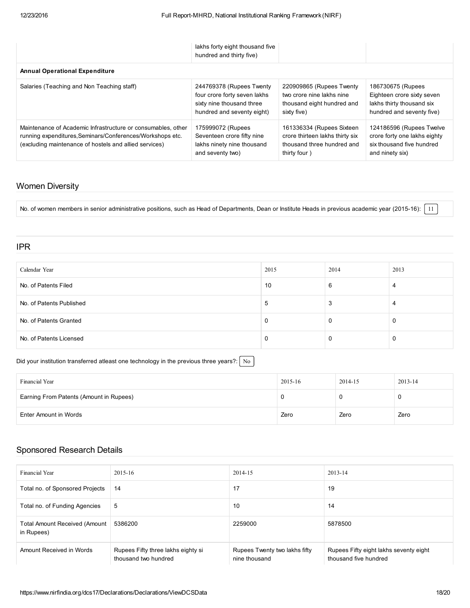|                                                                                                                                                                                     | lakhs forty eight thousand five<br>hundred and thirty five)                                                         |                                                                                                            |                                                                                                           |
|-------------------------------------------------------------------------------------------------------------------------------------------------------------------------------------|---------------------------------------------------------------------------------------------------------------------|------------------------------------------------------------------------------------------------------------|-----------------------------------------------------------------------------------------------------------|
| <b>Annual Operational Expenditure</b>                                                                                                                                               |                                                                                                                     |                                                                                                            |                                                                                                           |
| Salaries (Teaching and Non Teaching staff)                                                                                                                                          | 244769378 (Rupees Twenty<br>four crore forty seven lakhs<br>sixty nine thousand three<br>hundred and seventy eight) | 220909865 (Rupees Twenty<br>two crore nine lakhs nine<br>thousand eight hundred and<br>sixty five)         | 186730675 (Rupees<br>Eighteen crore sixty seven<br>lakhs thirty thousand six<br>hundred and seventy five) |
| Maintenance of Academic Infrastructure or consumables, other<br>running expenditures. Seminars/Conferences/Workshops etc.<br>(excluding maintenance of hostels and allied services) | 175999072 (Rupees<br>Seventeen crore fifty nine<br>lakhs ninety nine thousand<br>and seventy two)                   | 161336334 (Rupees Sixteen<br>crore thirteen lakhs thirty six<br>thousand three hundred and<br>thirty four) | 124186596 (Rupees Twelve<br>crore forty one lakhs eighty<br>six thousand five hundred<br>and ninety six)  |

## Women Diversity

No. of women members in senior administrative positions, such as Head of Departments, Dean or Institute Heads in previous academic year (2015-16): [11]

### IPR

| Calendar Year            | 2015        | 2014 | 2013 |
|--------------------------|-------------|------|------|
| No. of Patents Filed     | 10          | 6    | 4    |
| No. of Patents Published | $\mathbf b$ | 3    | 4    |
| No. of Patents Granted   | 0           | 0    | υ    |
| No. of Patents Licensed  | 0           | 0    | 0    |

### Did your institution transferred atleast one technology in the previous three years?:  $\sqrt{\frac{N_o}{N_o}}$

| Financial Year                          | 2015-16 | 2014-15 | 2013-14 |
|-----------------------------------------|---------|---------|---------|
| Earning From Patents (Amount in Rupees) |         |         | C       |
| Enter Amount in Words                   | Zero    | Zero    | Zero    |

## Sponsored Research Details

| Financial Year                                     | 2015-16                                                    | 2014-15                                        | 2013-14                                                         |
|----------------------------------------------------|------------------------------------------------------------|------------------------------------------------|-----------------------------------------------------------------|
| Total no. of Sponsored Projects                    | 14                                                         | 17                                             | 19                                                              |
| Total no. of Funding Agencies                      | 5                                                          | 10                                             | 14                                                              |
| <b>Total Amount Received (Amount</b><br>in Rupees) | 5386200                                                    | 2259000                                        | 5878500                                                         |
| Amount Received in Words                           | Rupees Fifty three lakhs eighty si<br>thousand two hundred | Rupees Twenty two lakhs fifty<br>nine thousand | Rupees Fifty eight lakhs seventy eight<br>thousand five hundred |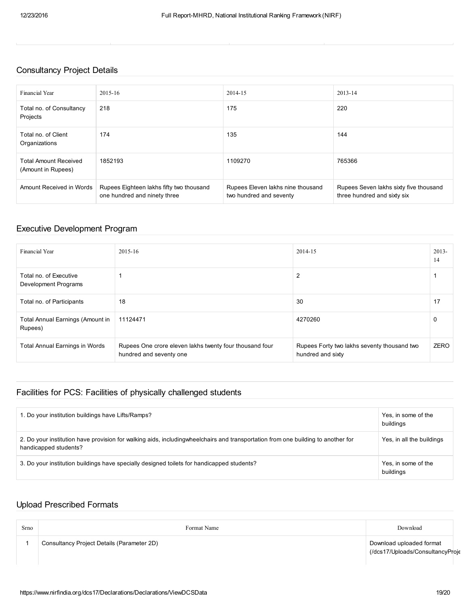## Consultancy Project Details

| Financial Year                                     | 2015-16                                                                  | 2014-15                                                      | 2013-14                                                               |
|----------------------------------------------------|--------------------------------------------------------------------------|--------------------------------------------------------------|-----------------------------------------------------------------------|
| Total no. of Consultancy<br>Projects               | 218                                                                      | 175                                                          | 220                                                                   |
| Total no. of Client<br>Organizations               | 174                                                                      | 135                                                          | 144                                                                   |
| <b>Total Amount Received</b><br>(Amount in Rupees) | 1852193                                                                  | 1109270                                                      | 765366                                                                |
| Amount Received in Words                           | Rupees Eighteen lakhs fifty two thousand<br>one hundred and ninety three | Rupees Eleven lakhs nine thousand<br>two hundred and seventy | Rupees Seven lakhs sixty five thousand<br>three hundred and sixty six |

## Executive Development Program

| Financial Year                                     | 2015-16                                                                            | 2014-15                                                          | $2013-$<br>14 |
|----------------------------------------------------|------------------------------------------------------------------------------------|------------------------------------------------------------------|---------------|
| Total no. of Executive<br>Development Programs     |                                                                                    | 2                                                                |               |
| Total no. of Participants                          | 18                                                                                 | 30                                                               | 17            |
| <b>Total Annual Earnings (Amount in</b><br>Rupees) | 11124471                                                                           | 4270260                                                          | 0             |
| <b>Total Annual Earnings in Words</b>              | Rupees One crore eleven lakhs twenty four thousand four<br>hundred and seventy one | Rupees Forty two lakhs seventy thousand two<br>hundred and sixty | <b>ZERO</b>   |

## Facilities for PCS: Facilities of physically challenged students

| . Do your institution buildings have Lifts/Ramps?                                                                                                          | Yes, in some of the<br>buildings |
|------------------------------------------------------------------------------------------------------------------------------------------------------------|----------------------------------|
| 2. Do your institution have provision for walking aids, including wheelchairs and transportation from one building to another for<br>handicapped students? | Yes, in all the buildings        |
| 3. Do your institution buildings have specially designed toilets for handicapped students?                                                                 | Yes, in some of the<br>buildings |

## Upload Prescribed Formats

| Srno | Format Name                                | Download                                                     |  |
|------|--------------------------------------------|--------------------------------------------------------------|--|
|      | Consultancy Project Details (Parameter 2D) | Download uploaded format<br>(/dcs17/Uploads/ConsultancyProje |  |